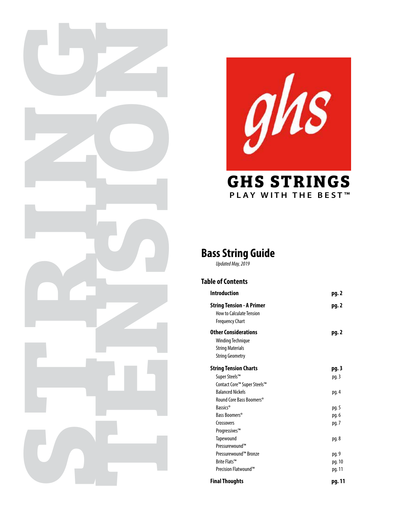



# **PLAY WITH THE BEST™**

### **Bass String Guide**

*Updated May, 2019*

#### **Table of Contents**

| <b>Introduction</b>                                                                                          | pg. 2            |
|--------------------------------------------------------------------------------------------------------------|------------------|
| <b>String Tension - A Primer</b><br>How to Calculate Tension<br><b>Frequency Chart</b>                       | pg. 2            |
| <b>Other Considerations</b><br><b>Winding Technique</b><br><b>String Materials</b><br><b>String Geometry</b> | pg. 2            |
| <b>String Tension Charts</b><br>Super Steels™<br>Contact Core™ Super Steels™                                 | pg. 3<br>pg. 3   |
| <b>Balanced Nickels</b><br>Round Core Bass Boomers®                                                          | pg. 4            |
| Bassics <sup>®</sup><br>Bass Boomers <sup>®</sup>                                                            | pg. 5<br>pg. 6   |
| Crossovers<br>Progressives™<br>Tapewound                                                                     | pg. 7<br>pg. 8   |
| Pressurewound™<br>Pressurewound™ Bronze                                                                      | pg. 9            |
| Brite Flats™<br>Precision Flatwound™                                                                         | pg. 10<br>pg. 11 |
| <b>Final Thoughts</b>                                                                                        | pg. 11           |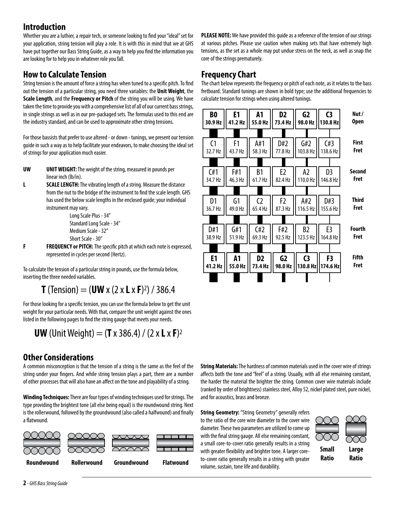### **Introduction**

Whether you are a luthier, a repair tech, or someone looking to find your "ideal" set for your application, string tension will play a role. It is with this in mind that we at GHS have put together our Bass String Guide, as a way to help you find the information you are looking for to help you in whatever role you fall.

### **How to Calculate Tension**

String tension is the amount of force a string has when tuned to a specific pitch. To find out the tension of a particular string, you need three variables: the **Unit Weight**, the **Scale Length**, and the **Frequency or Pitch** of the string you will be using. We have taken the time to provide you with a comprehensive list of all of our current bass strings, in single strings as well as in our pre-packaged sets. The formulas used to this end are the industry standard, and can be used to approximate other string tensions.

For those bassists that prefer to use altered - or down - tunings, we present our tension guide in such a way as to help facilitate your endeavors, to make choosing the ideal set of strings for your application much easier.

- **UW UNIT WEIGHT:** The weight of the string, measured in pounds per linear inch (lb/in).
- **L SCALE LENGTH:** The vibrating length of a string. Measure the distance from the nut to the bridge of the instrument to find the scale length. GHS has used the below scale lengths in the enclosed guide; your individual instrument may vary.

 Long Scale Plus - 34" Standard Long Scale - 34" Medium Scale - 32" Short Scale - 30"

**F FREQUENCY or PITCH:** The specific pitch at which each note is expressed, represented in cycles per second (Hertz).

To calculate the tension of a particular string in pounds, use the formula below, inserting the three needed variables.

### **T** (Tension) =  $(UW \times (2 \times L \times F)^2) / 386.4$

For those looking for a specific tension, you can use the formula below to get the unit weight for your particular needs. With that, compare the unit weight against the ones listed in the following pages to find the string gauge that meets your needs.

```
UW (Unit Weight) = (T \times 386.4) / (2 \times L \times F)^2
```
### **Other Considerations**

A common misconception is that the tension of a string is the same as the feel of the string under your fingers. And while string tension plays a part, there are a number of other processes that will also have an affect on the tone and playability of a string.

**Winding Techniques:** There are four types of winding techniques used for strings. The type providing the brightest tone (all else being equal) is the roundwound string. Next is the rollerwound, followed by the groundwound (also called a halfwound) and finally a flatwound.



**PLEASE NOTE:** We have provided this guide as a reference of the tension of our strings at various pitches. Please use caution when making sets that have extremely high tensions, as the set as a whole may put undue stress on the neck, as well as snap the core of the strings prematurely.

### **Frequency Chart**

The chart below represents the frequency or pitch of each note, as it relates to the bass fretboard. Standard tunings are shown in bold type; use the additional frequencies to calculate tension for strings when using altered tunings.



**String Materials:** The hardness of common materials used in the cover wire of strings affects both the tone and "feel" of a string. Usually, with all else remaining constant, the harder the material the brighter the string. Common cover wire materials include (ranked by order of brightness) stainless steel, Alloy 52, nickel plated steel, pure nickel, and for acoustics, brass and bronze.

**String Geometry:** "String Geometry" generally refers to the ratio of the core wire diameter to the cover wire diameter. These two parameters are utilized to come up with the final string gauge. All else remaining constant, a small core-to-cover ratio generally results in a string with greater flexibility and brighter tone. A larger coreto-cover ratio generally results in a string with greater volume, sustain, tone life and durability.



**Small Ratio Large Ratio**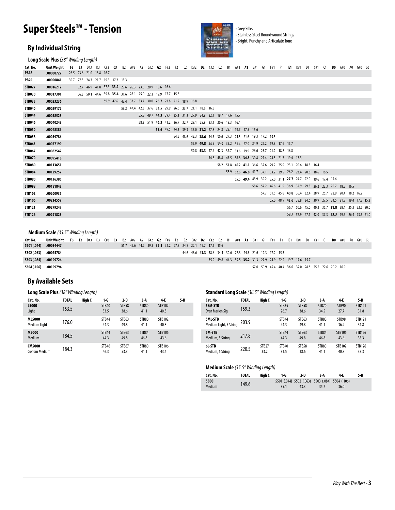## **Super Steels™ - Tension**



• Stainless Steel Roundwound Strings • Bright, Punchy and Articulate Tone

#### **By Individual String**

**Long Scale Plus** *(38" Winding Length)*

| Cat. No.      | <b>Unit Weight</b> | F3 |                          | E3 D#3 D3 C#3 C3 B2 A#2 A2 G#2 G2 F#2 F2 E2 D#2 D2 C#2 C2 B1 A#1 A1 G#1 G1 F#1 F1 E1 D#1 D1 C#1 C1 B0 A#0 A0 G#0 G0 |  |                                                        |  |  |  |                                                             |  |  |  |  |                                                             |  |  |                                                             |  |  |  |
|---------------|--------------------|----|--------------------------|---------------------------------------------------------------------------------------------------------------------|--|--------------------------------------------------------|--|--|--|-------------------------------------------------------------|--|--|--|--|-------------------------------------------------------------|--|--|-------------------------------------------------------------|--|--|--|
| <b>PB18</b>   | .00000727          |    | 26.5 23.6 21.0 18.8 16.7 |                                                                                                                     |  |                                                        |  |  |  |                                                             |  |  |  |  |                                                             |  |  |                                                             |  |  |  |
| <b>PB20</b>   | .00000841          |    |                          | 30.7 27.3 24.3 21.7 19.3 17.2 15.3                                                                                  |  |                                                        |  |  |  |                                                             |  |  |  |  |                                                             |  |  |                                                             |  |  |  |
| <b>STB027</b> | .00016212          |    |                          | 52.7 46.9 41.8 37.3 33.2 29.6 26.3 23.5 20.9 18.6 16.6                                                              |  |                                                        |  |  |  |                                                             |  |  |  |  |                                                             |  |  |                                                             |  |  |  |
| <b>STB030</b> | .00017301          |    |                          | 56.3 50.1 44.6 39.8 35.4 31.6 28.1 25.0 22.3 19.9 17.7 15.8                                                         |  |                                                        |  |  |  |                                                             |  |  |  |  |                                                             |  |  |                                                             |  |  |  |
| <b>STB035</b> | .00023236          |    |                          |                                                                                                                     |  | 59.9 47.6 42.4 37.7 33.7 30.0 26.7 23.8 21.2 18.9 16.8 |  |  |  |                                                             |  |  |  |  |                                                             |  |  |                                                             |  |  |  |
| <b>STB040</b> | .00029172          |    |                          |                                                                                                                     |  |                                                        |  |  |  | 53.2 47.4 42.3 37.6 33.5 29.9 26.6 23.7 21.1 18.8 16.8      |  |  |  |  |                                                             |  |  |                                                             |  |  |  |
| <b>STB044</b> | .00038523          |    |                          |                                                                                                                     |  |                                                        |  |  |  | 55.8 49.7 44.3 39.4 35.1 31.3 27.9 24.9 22.1 19.7 17.6 15.7 |  |  |  |  |                                                             |  |  |                                                             |  |  |  |
| <b>STB046</b> | .00040243          |    |                          |                                                                                                                     |  |                                                        |  |  |  | 58.3 51.9 46.3 41.2 36.7 32.7 29.1 25.9 23.1 20.6 18.3 16.4 |  |  |  |  |                                                             |  |  |                                                             |  |  |  |
| <b>STB050</b> | .00048386          |    |                          |                                                                                                                     |  |                                                        |  |  |  | 55.6 49.5 44.1 39.3 35.0 31.2 27.8 24.8 22.1 19.7 17.5 15.6 |  |  |  |  |                                                             |  |  |                                                             |  |  |  |
| <b>STB058</b> | .00059786          |    |                          |                                                                                                                     |  |                                                        |  |  |  | 54.5 48.6 43.3 38.6 34.3 30.6 27.3 24.3 21.6 19.3 17.2 15.3 |  |  |  |  |                                                             |  |  |                                                             |  |  |  |
| <b>STB063</b> | .00077190          |    |                          |                                                                                                                     |  |                                                        |  |  |  |                                                             |  |  |  |  | 55.9 49.8 44.4 39.5 35.2 31.4 27.9 24.9 22.2 19.8 17.6 15.7 |  |  |                                                             |  |  |  |
| <b>STB067</b> | .00082542          |    |                          |                                                                                                                     |  |                                                        |  |  |  |                                                             |  |  |  |  | 59.8 53.3 47.4 42.3 37.7 33.6 29.9 26.6 23.7 21.2 18.8 16.8 |  |  |                                                             |  |  |  |
| <b>STB070</b> | .00095418          |    |                          |                                                                                                                     |  |                                                        |  |  |  |                                                             |  |  |  |  | 54.8 48.8 43.5 38.8 34.5 30.8 27.4 24.5 21.7 19.4 17.3      |  |  |                                                             |  |  |  |
| <b>STB080</b> | .00113651          |    |                          |                                                                                                                     |  |                                                        |  |  |  |                                                             |  |  |  |  | 58.2 51.8 46.2 41.1 36.6 32.6 29.2 25.9 23.1 20.6 18.3 16.4 |  |  |                                                             |  |  |  |
| <b>STB084</b> | .00129257          |    |                          |                                                                                                                     |  |                                                        |  |  |  |                                                             |  |  |  |  |                                                             |  |  | 58.9 52.6 46.8 41.7 37.1 33.2 29.5 26.2 23.4 20.8 18.6 16.5 |  |  |  |
| <b>STB090</b> | .00136385          |    |                          |                                                                                                                     |  |                                                        |  |  |  |                                                             |  |  |  |  |                                                             |  |  | 55.5 49.4 43.9 39.2 35.0 31.1 27.7 24.7 22.0 19.6 17.4 15.6 |  |  |  |
| <b>STB098</b> | .00181843          |    |                          |                                                                                                                     |  |                                                        |  |  |  |                                                             |  |  |  |  |                                                             |  |  | 58.6 52.2 46.6 41.5 36.9 32.9 29.3 26.2 23.3 20.7 18.5 16.5 |  |  |  |
| <b>STB102</b> | .00200935          |    |                          |                                                                                                                     |  |                                                        |  |  |  |                                                             |  |  |  |  |                                                             |  |  | 57.7 51.5 45.8 40.8 36.4 32.4 28.9 25.7 22.9 20.4 18.2 16.2 |  |  |  |
| <b>STB106</b> | .00214559          |    |                          |                                                                                                                     |  |                                                        |  |  |  |                                                             |  |  |  |  |                                                             |  |  | 55.0 48.9 43.6 38.8 34.6 30.9 27.5 24.5 21.8 19.4 17.3 15.3 |  |  |  |
| <b>STB121</b> | .00279247          |    |                          |                                                                                                                     |  |                                                        |  |  |  |                                                             |  |  |  |  |                                                             |  |  | 56.7 50.6 45.0 40.2 35.7 31.8 28.4 25.3 22.5 20.0           |  |  |  |
| <b>STB126</b> | .00291823          |    |                          |                                                                                                                     |  |                                                        |  |  |  |                                                             |  |  |  |  |                                                             |  |  | 59.3 52.9 47.1 42.0 37.3 33.3 29.6 26.4 23.5 21.0           |  |  |  |
|               |                    |    |                          |                                                                                                                     |  |                                                        |  |  |  |                                                             |  |  |  |  |                                                             |  |  |                                                             |  |  |  |

#### **Medium Scale** *(35.5" Winding Length)*

| Cat. No.              | Unit Weight F3 E3 D#3 D3 C#3 C3 B2 A#2 A2 G#2 G2 F#2 F2 E2 D#2 D2 C#2 C2 B1 A#1 A1 G#1 G1 F#1 F1 E1 D#1 D1 C#1 C1 B0 A#0 A0 G#0 G0 |  |  |  |  |  |                                                             |  |  |  |                                                             |  |  |  |                                                             |  |  |  |  |
|-----------------------|------------------------------------------------------------------------------------------------------------------------------------|--|--|--|--|--|-------------------------------------------------------------|--|--|--|-------------------------------------------------------------|--|--|--|-------------------------------------------------------------|--|--|--|--|
| 5501 (.044)           | .00034447                                                                                                                          |  |  |  |  |  | 55.7 49.6 44.2 39.3 35.1 31.2 27.8 24.8 22.1 19.7 17.5 15.6 |  |  |  |                                                             |  |  |  |                                                             |  |  |  |  |
| 5502 (.063) .00075784 |                                                                                                                                    |  |  |  |  |  |                                                             |  |  |  | 54.6 48.6 43.3 38.6 34.4 30.6 27.3 24.3 21.6 19.3 17.2 15.3 |  |  |  |                                                             |  |  |  |  |
| 5503 (.084)           | .00109724                                                                                                                          |  |  |  |  |  |                                                             |  |  |  |                                                             |  |  |  | 55.9 49.8 44.3 39.5 35.2 31.3 27.9 24.9 22.2 19.7 17.6 15.7 |  |  |  |  |
| 5504 (.106)           | .00199794                                                                                                                          |  |  |  |  |  |                                                             |  |  |  |                                                             |  |  |  | 57.0 50.9 45.4 40.4 36.0 32.0 28.5 25.5 22.6 20.2 16.0      |  |  |  |  |

#### **By Available Sets**

| Cat. No.                              | <b>TOTAL</b> | High C | 1-G           | $2-D$         | 3-A                  | 4-E                   | 5-B | Cat. No.                                 | <b>TOTAL</b> | High C                    | 1-G                      |
|---------------------------------------|--------------|--------|---------------|---------------|----------------------|-----------------------|-----|------------------------------------------|--------------|---------------------------|--------------------------|
| L5000<br>Light                        | 153.5        |        | STB40<br>33.5 | STB58<br>38.6 | <b>STB80</b><br>41.1 | <b>STB102</b><br>40.8 |     | <b>5EM STB</b><br>Evan Marien Sig        | 159.3        |                           | STB <sub>3</sub><br>26.7 |
| <b>ML5000</b><br>Medium Light         | 176.0        |        | STB44<br>44.3 | STB63<br>49.8 | STB80<br>41.1        | STB102<br>40.8        |     | <b>5ML STB</b><br>Medium Light, 5 String | 203.9        |                           | STB4<br>44.3             |
| M5000<br>Medium                       | 184.5        |        | STB44<br>44.3 | STB63<br>49.8 | STB84<br>46.8        | STB106<br>43.6        |     | 5M-STB<br>Medium, 5 String               | 217.8        |                           | STB4<br>44.3             |
| <b>CM5000</b><br><b>Custom Medium</b> | 184.3        |        | STB46<br>46.3 | STB67<br>53.3 | STB80<br>41.1        | STB106<br>43.6        |     | 6L-STB<br>Medium, 6 String               | 220.5        | STB <sub>27</sub><br>33.2 | STB4<br>33.5             |

#### **Long Scale Plus** *(38" Winding Length)* **Standard Long Scale** *(36.5" Winding Length)*

| 2-D                 | 3-A                  | 4-E            | 5-B | Cat. No.                          | <b>TOTAL</b> | High C                    | 1-G                       | 2-D                  | 3-A           | 4 E                   | 5-B                   |
|---------------------|----------------------|----------------|-----|-----------------------------------|--------------|---------------------------|---------------------------|----------------------|---------------|-----------------------|-----------------------|
| <b>TB58</b><br>88.6 | <b>STB80</b><br>41.1 | STB102<br>40.8 |     | <b>5EM STB</b><br>Evan Marien Sig | 159.3        |                           | STB <sub>35</sub><br>26.7 | <b>STB58</b><br>38.6 | STB70<br>34.5 | STB90<br>27.7         | <b>STB121</b><br>31.8 |
| <b>FB63</b><br>19.8 | STB80<br>41.1        | STB102<br>40.8 |     | 5ML STB<br>Medium Light, 5 String | 203.9        |                           | STB44<br>44.3             | STB63<br>49.8        | STB80<br>41.1 | STB98<br>36.9         | <b>STB121</b><br>31.8 |
| <b>FB63</b><br>19.8 | STB84<br>46.8        | STB106<br>43.6 |     | 5M-STB<br>Medium, 5 String        | 217.8        |                           | STB44<br>44.3             | STB63<br>49.8        | STB84<br>46.8 | STB106<br>43.6        | <b>STB126</b><br>33.3 |
| <b>FB67</b><br>53.3 | STB80<br>41.1        | STB106<br>43.6 |     | 61-STB<br>Medium, 6 String        | 220.5        | STB <sub>27</sub><br>33.2 | STB40<br>33.5             | STB58<br>38.6        | STB80<br>41.1 | <b>STB102</b><br>40.8 | STB126<br>33.3        |

#### **Medium Scale** *(35.5" Winding Length)*

| Cat. No. | <b>TOTAL</b> | High C | 1-G  | 2-D  | 3-A                                             | 4-F  | 5-B |
|----------|--------------|--------|------|------|-------------------------------------------------|------|-----|
| 5500     |              |        |      |      | 5501 (.044) 5502 (.063) 5503 (.084) 5504 (.106) |      |     |
| Medium   | 149.6        |        | 35.1 | 43.3 | 35.2                                            | 36.0 |     |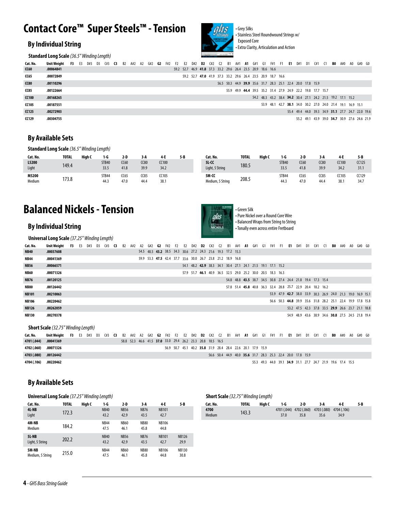## **Contact Core™ Super Steels™ - Tension**

#### **By Individual String**

**Standard Long Scale** *(36.5" Winding Length)*



• Grey Silks • Stainless Steel Roundwound Strings w/ Exposed Core • Extra Clarity, Articulation and Action

| Cat. No.     | Unit Weight | <b>F3</b> | E3 |  |  | D#3 D3 C#3 <b>C3</b> B2 A#2 A2 G#2 <b>G2</b> F#2 F2 E2 D#2 <b>D2</b> C#2 C2 B1 A#1 <b>A1</b> G#1 G1 F#1 F1 <b>E1</b> D#1 D1 C#1 C1 <b>B0</b> A#0 A0 G#0 G0 |  |  |  |                                                             |  |  |  |                                                             |  |  |                                                             |  |  |  |  |
|--------------|-------------|-----------|----|--|--|------------------------------------------------------------------------------------------------------------------------------------------------------------|--|--|--|-------------------------------------------------------------|--|--|--|-------------------------------------------------------------|--|--|-------------------------------------------------------------|--|--|--|--|
| <b>CC60</b>  | .00064841   |           |    |  |  |                                                                                                                                                            |  |  |  | 59.2 52.7 46.9 41.8 37.3 33.2 29.6 26.4 23.5 20.9 18.6 16.6 |  |  |  |                                                             |  |  |                                                             |  |  |  |  |
| CC65         | .00072849   |           |    |  |  |                                                                                                                                                            |  |  |  | 59.2 52.7 47.0 41.9 37.3 33.2 29.6 26.4 23.5 20.9 18.7 16.6 |  |  |  |                                                             |  |  |                                                             |  |  |  |  |
| CC80         | .00110296   |           |    |  |  |                                                                                                                                                            |  |  |  |                                                             |  |  |  | 56.5 50.3 44.9 39.9 35.6 31.7 28.3 25.1 22.4 20.0 17.8 15.9 |  |  |                                                             |  |  |  |  |
| <b>CC85</b>  | .00122664   |           |    |  |  |                                                                                                                                                            |  |  |  |                                                             |  |  |  | 55.9 49.9 44.4 39.5 35.2 31.4 27.9 24.9 22.2 19.8 17.7 15.7 |  |  |                                                             |  |  |  |  |
| <b>CC100</b> | .00168265   |           |    |  |  |                                                                                                                                                            |  |  |  |                                                             |  |  |  |                                                             |  |  | 54.2 48.3 43.2 38.4 34.2 30.4 27.1 24.2 21.5 19.2 17.1 15.2 |  |  |  |  |
| <b>CC105</b> | .00187551   |           |    |  |  |                                                                                                                                                            |  |  |  |                                                             |  |  |  |                                                             |  |  | 53.9 48.1 42.7 38.1 34.0 30.2 27.0 24.0 21.4 19.1 16.9 15.1 |  |  |  |  |
| CC125        | .00272903   |           |    |  |  |                                                                                                                                                            |  |  |  |                                                             |  |  |  |                                                             |  |  | 55.4 49.4 44.0 39.3 34.9 31.1 27.7 24.7 22.0 19.6           |  |  |  |  |
| CC129        | .00304755   |           |    |  |  |                                                                                                                                                            |  |  |  |                                                             |  |  |  |                                                             |  |  | 55.2 49.1 43.9 39.0 34.7 30.9 27.6 24.6 21.9                |  |  |  |  |

#### **By Available Sets**

#### **Standard Long Scale** *(36.5" Winding Length)*

| Cat. No.        | <b>TOTAL</b> | High C |                      | 2-D          | 3 A          | 4-E                  | 5-B | Cat. No.                  | <b>TOTAL</b> | High C | 1-G                  | $2-D$        | 3 A          | 4-L                  | 5-B           |
|-----------------|--------------|--------|----------------------|--------------|--------------|----------------------|-----|---------------------------|--------------|--------|----------------------|--------------|--------------|----------------------|---------------|
| L5200<br>Light  | 149.4        |        | <b>STB40</b><br>33.5 | CC60<br>41.8 | CC80<br>39.9 | <b>CC100</b><br>34.2 |     | 51 CC<br>Light, 5 String  | 180.5        |        | <b>STB40</b><br>33.5 | CC60<br>41.8 | CC80<br>39.9 | <b>CC100</b><br>34.2 | CC125<br>31.1 |
| M5200<br>Medium | 173.8        |        | STB44<br>44.3        | CC65<br>47.0 | CC85<br>44.4 | CC105<br>38.1        |     | 5M-CC<br>Medium, 5 String | 208.5        |        | STB44<br>44.3        | CC65<br>47.0 | CC85<br>44.4 | CC105<br>38.1        | CC129<br>34.7 |

### **Balanced Nickels - Tension**

#### **By Individual String**

**Universal Long Scale** *(37.25" Winding Length)*



• Pure Nickel over a Round Core Wire • Balanced Wraps from String to String • Tonally even across entire Fretboard

| Cat. No.     | Unit Weight | <b>F3</b> | - E3 | D#3 | D3 (#3 <b>C3</b> |  | B2 A#2 A2 G#2 |  |  | <b>G2</b> $F#2$ $F2$ $E2$ | D#2 <b>D2</b> C#2 C2                                        |  | B1 A#1 <b>A1</b> G#1 G1 F#1 F1 <b>E1</b> |  |  |  | D#1 | D1                                                          | C#1 | BO – | A#0 | A0                                                          | G#0 G0 |  |
|--------------|-------------|-----------|------|-----|------------------|--|---------------|--|--|---------------------------|-------------------------------------------------------------|--|------------------------------------------|--|--|--|-----|-------------------------------------------------------------|-----|------|-----|-------------------------------------------------------------|--------|--|
| <b>NB40</b>  | .00037608   |           |      |     |                  |  |               |  |  |                           | 54.5 48.5 43.2 38.5 34.3 30.6 27.2 24.3 21.6 19.3 17.2 15.3 |  |                                          |  |  |  |     |                                                             |     |      |     |                                                             |        |  |
| <b>NB44</b>  | .00041369   |           |      |     |                  |  |               |  |  |                           | 59.9 53.3 47.5 42.4 37.7 33.6 30.0 26.7 23.8 21.2 18.9 16.8 |  |                                          |  |  |  |     |                                                             |     |      |     |                                                             |        |  |
| <b>NB56</b>  | .00066571   |           |      |     |                  |  |               |  |  |                           | 54.1 48.2 42.9 38.3 34.1 30.4 27.1 24.1 21.5 19.1 17.1 15.2 |  |                                          |  |  |  |     |                                                             |     |      |     |                                                             |        |  |
| NB60         | .00071326   |           |      |     |                  |  |               |  |  |                           | 57.9 51.7 46.1 40.9 36.5 32.5 29.0 25.2 30.0 20.5 18.3 16.3 |  |                                          |  |  |  |     |                                                             |     |      |     |                                                             |        |  |
| <b>NB76</b>  | .00120125   |           |      |     |                  |  |               |  |  |                           |                                                             |  |                                          |  |  |  |     | 54.8 48.8 43.5 38.7 34.5 30.8 27.4 24.4 21.8 19.4 17.3 15.4 |     |      |     |                                                             |        |  |
| NB80         | .00126442   |           |      |     |                  |  |               |  |  |                           |                                                             |  |                                          |  |  |  |     | 57.8 51.4 45.8 40.8 36.3 32.4 28.8 25.7 22.9 20.4 18.2 16.2 |     |      |     |                                                             |        |  |
| <b>NB101</b> | .00210063   |           |      |     |                  |  |               |  |  |                           |                                                             |  |                                          |  |  |  |     |                                                             |     |      |     | 53.9 47.9 42.7 38.0 33.9 30.3 26.9 24.0 21.3 19.0 16.9 15.1 |        |  |
| <b>NB106</b> | .00220462   |           |      |     |                  |  |               |  |  |                           |                                                             |  |                                          |  |  |  |     |                                                             |     |      |     | 56.6 50.3 44.8 39.9 35.6 31.8 28.2 25.1 22.4 19.9 17.8 15.8 |        |  |
| <b>NB126</b> | .00262059   |           |      |     |                  |  |               |  |  |                           |                                                             |  |                                          |  |  |  |     |                                                             |     |      |     | 53.2 47.5 42.3 37.8 33.5 29.9 26.6 23.7 21.1 18.8           |        |  |
| <b>NB130</b> | .00270378   |           |      |     |                  |  |               |  |  |                           |                                                             |  |                                          |  |  |  |     |                                                             |     |      |     | 54.9 48.9 43.6 38.9 34.6 30.8 27.5 24.5 21.8 19.4           |        |  |
|              |             |           |      |     |                  |  |               |  |  |                           |                                                             |  |                                          |  |  |  |     |                                                             |     |      |     |                                                             |        |  |

#### **Short Scale** *(32.75" Winding Length)*

| Cat. No.              | Unit Weight F3 E3 D#3 D3 C#3 C3 B2 A#2 A2 G#2 G2 F#2 F2 E2 D#2 D2 C#2 C2 B1 A#1 A1 G#1 G1 F#1 F1 E1 D#1 D1 C#1 C1 B0 A#0 A0 G#0 G0 |  |  |  |                                                             |  |  |  |  |  |                                                             |  |  |  |                                                             |  |  |  |  |
|-----------------------|------------------------------------------------------------------------------------------------------------------------------------|--|--|--|-------------------------------------------------------------|--|--|--|--|--|-------------------------------------------------------------|--|--|--|-------------------------------------------------------------|--|--|--|--|
| 4701 (.044)           | .00041369                                                                                                                          |  |  |  | 58.8 52.3 46.6 41.5 37.0 33.0 29.4 26.2 23.3 20.8 18.5 16.5 |  |  |  |  |  |                                                             |  |  |  |                                                             |  |  |  |  |
| 4702 (.060) .00071326 |                                                                                                                                    |  |  |  |                                                             |  |  |  |  |  | 56.9 50.7 45.1 40.2 35.8 31.9 28.4 28.4 22.6 20.1 17.9 15.9 |  |  |  |                                                             |  |  |  |  |
| 4703 (.080) .00126442 |                                                                                                                                    |  |  |  |                                                             |  |  |  |  |  |                                                             |  |  |  | 56.6 50.4 44.9 40.0 35.6 31.7 28.3 25.3 22.4 20.0 17.8 15.9 |  |  |  |  |
| 4704 (.106) .00220462 |                                                                                                                                    |  |  |  |                                                             |  |  |  |  |  |                                                             |  |  |  | 55.3 49.3 44.0 39.1 34.9 31.1 27.7 24.7 21.9 19.6 17.4 15.5 |  |  |  |  |

#### **By Available Sets**

| <b>Universal Long Scale (37.25" Winding Length)</b> |       |        |                     |                     |                     |                      |                      | <b>Short Scale</b> (32.75" Winding Length) |              |        |      |                                                         |      |      |       |
|-----------------------------------------------------|-------|--------|---------------------|---------------------|---------------------|----------------------|----------------------|--------------------------------------------|--------------|--------|------|---------------------------------------------------------|------|------|-------|
| Cat. No.                                            | TOTAL | High C | 1-G                 | $2-D$               | $3-A$               | 4 E                  | 5 B                  | Cat. No.                                   | <b>TOTAL</b> | High C | 1-G  | 2-D                                                     | 3 A  | 4-E  | $5-B$ |
| 4L-NB<br>Light                                      | 172.3 |        | <b>NB40</b><br>43.2 | <b>NB56</b><br>42.9 | <b>NB76</b><br>43.5 | <b>NB101</b><br>42.7 |                      | 4700<br>Medium                             | 143.3        |        | 37.0 | 4701 (.044) 4702 (.060) 4703 (.080) 4704 (.106)<br>35.8 | 35.6 | 34.9 |       |
| 4M-NB<br>Medium                                     | 184.2 |        | <b>NB44</b><br>47.5 | <b>NB60</b><br>46.1 | <b>NB80</b><br>45.8 | <b>NB106</b><br>44.8 |                      |                                            |              |        |      |                                                         |      |      |       |
| <b>51-NB</b><br>Light, 5 String                     | 202.2 |        | <b>NB40</b><br>43.2 | <b>NB56</b><br>42.9 | <b>NB76</b><br>43.5 | <b>NB101</b><br>42.7 | <b>NB126</b><br>29.9 |                                            |              |        |      |                                                         |      |      |       |
| 5M-NB<br>Medium, 5 String                           | 215.0 |        | <b>NB44</b><br>47.5 | <b>NB60</b><br>46.1 | <b>NB80</b><br>45.8 | <b>NB106</b><br>44.8 | <b>NB130</b><br>30.8 |                                            |              |        |      |                                                         |      |      |       |

| <b>Short Scale</b> (32.75" Winding Length) |              |        |      |                                 |                                 |      |     |
|--------------------------------------------|--------------|--------|------|---------------------------------|---------------------------------|------|-----|
| Cat. No.                                   | <b>TOTAL</b> | High C | 1-G  | 2-D                             | 3 A                             | 4-F  | 5-B |
| 4700<br>Medium                             | 143.3        |        | 37.0 | 4701 (.044) 4702 (.060)<br>35.8 | 4703 (.080) 4704 (.106)<br>35.6 | 34.9 |     |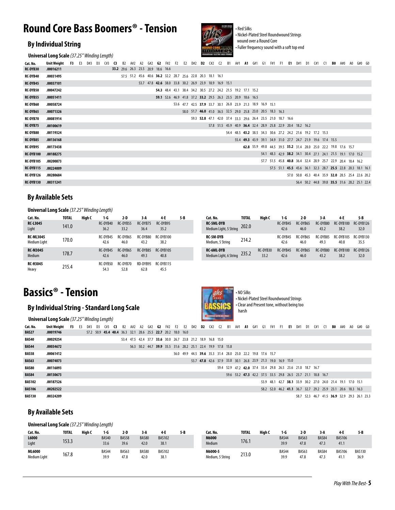### **Round Core Bass Boomers® - Tension**

#### **By Individual String**



• Red Silks • Nickel-Plated Steel Roundwound Strings wound over a Round Core • Fuller frequency sound with a soft top end

|                  | <b>Universal Long Scale</b> (37.25" Winding Length) |           |    |    |     |                                    |                                                             |     |    |     |                     |  | <b>RESISTIONS EXCITED AND STRONG</b>                        |           |     |    |     |    |     |    |            |                                                                  |     |        |            |  |
|------------------|-----------------------------------------------------|-----------|----|----|-----|------------------------------------|-------------------------------------------------------------|-----|----|-----|---------------------|--|-------------------------------------------------------------|-----------|-----|----|-----|----|-----|----|------------|------------------------------------------------------------------|-----|--------|------------|--|
| Cat. No.         | Unit Weight                                         | <b>F3</b> | E3 | D3 | C#3 |                                    |                                                             | G#2 | G2 | F#2 | F2 E2 D#2 D2 C#2 C2 |  |                                                             | <b>B1</b> | A#1 | A1 | G#1 | G1 | F#1 | F1 | $E1$ $D#1$ | D1 (#1 C1                                                        | BO. | A#0 A0 | $G#0$ $G0$ |  |
| <b>RC-DYB30</b>  | .00016211                                           |           |    |    |     | 33.2 29.6 26.3 23.5 20.9 18.6 16.6 |                                                             |     |    |     |                     |  |                                                             |           |     |    |     |    |     |    |            |                                                                  |     |        |            |  |
| RC-DYB40         | .00031495                                           |           |    |    |     |                                    | 57.5 51.2 45.6 40.6 36.2 32.2 28.7 25.6 22.8 20.3 18.1 16.1 |     |    |     |                     |  |                                                             |           |     |    |     |    |     |    |            |                                                                  |     |        |            |  |
| <b>RC-DYB45</b>  | .00037101                                           |           |    |    |     |                                    |                                                             |     |    |     |                     |  | 53.7 47.8 42.6 38.0 33.8 30.2 26.9 23.9 18.9 16.9 15.1      |           |     |    |     |    |     |    |            |                                                                  |     |        |            |  |
| RC-DYB50         | .00047242                                           |           |    |    |     |                                    |                                                             |     |    |     |                     |  | 54.3 48.4 43.1 38.4 34.2 30.5 27.2 24.2 21.5 19.2 17.1 15.2 |           |     |    |     |    |     |    |            |                                                                  |     |        |            |  |
| <b>RC-DYB55</b>  | .00051411                                           |           |    |    |     |                                    |                                                             |     |    |     |                     |  | 59.1 52.6 46.9 41.8 37.2 33.2 29.5 26.3 23.5 20.9 18.6 16.5 |           |     |    |     |    |     |    |            |                                                                  |     |        |            |  |
| <b>RC-DYB60</b>  | .00058724                                           |           |    |    |     |                                    |                                                             |     |    |     |                     |  | 53.6 47.7 42.5 37.9 33.7 30.1 26.8 23.9 21.3 18.9 16.9 15.1 |           |     |    |     |    |     |    |            |                                                                  |     |        |            |  |
| RC-DYB65         | .00071326                                           |           |    |    |     |                                    |                                                             |     |    |     |                     |  | 58.0 51.7 46.0 41.0 36.5 32.5 29.0 25.8 23.0 20.5 18.3 16.3 |           |     |    |     |    |     |    |            |                                                                  |     |        |            |  |
| <b>RC-DYB70</b>  | .00081914                                           |           |    |    |     |                                    |                                                             |     |    |     |                     |  | 59.3 52.8 47.1 42.0 37.4 33.3 29.6 26.4 23.5 21.0 18.7 16.6 |           |     |    |     |    |     |    |            |                                                                  |     |        |            |  |
| <b>RC-DYB75</b>  | .00100619                                           |           |    |    |     |                                    |                                                             |     |    |     |                     |  | 57.8 51.5 45.9 40.9 36.4 32.4 28.9 25.8 22.9 20.4 18.2 16.2 |           |     |    |     |    |     |    |            |                                                                  |     |        |            |  |
| <b>RC-DYB80</b>  | .00119324                                           |           |    |    |     |                                    |                                                             |     |    |     |                     |  |                                                             |           |     |    |     |    |     |    |            | 54.4 48.5 43.2 38.5 34.3 30.6 27.2 24.2 21.6 19.2 17.2 15.3      |     |        |            |  |
| <b>RC-DYB85</b>  | .00136168                                           |           |    |    |     |                                    |                                                             |     |    |     |                     |  |                                                             |           |     |    |     |    |     |    |            | 55.4 49.3 43.9 39.1 34.9 31.0 27.7 24.7 21.9 19.6 17.4 15.5      |     |        |            |  |
| RC-DYB95         | .00173438                                           |           |    |    |     |                                    |                                                             |     |    |     |                     |  |                                                             |           |     |    |     |    |     |    |            | 62.8 55.9 49.8 44.5 39.5 35.2 31.4 28.0 25.0 22.2 19.8 17.6 15.7 |     |        |            |  |
| RC-DYB100        | .00188275                                           |           |    |    |     |                                    |                                                             |     |    |     |                     |  |                                                             |           |     |    |     |    |     |    |            | 54.1 48.3 42.9 38.2 34.1 30.4 27.1 24.1 21.5 19.1 17.0 15.2      |     |        |            |  |
| RC-DYB105        | .00200873                                           |           |    |    |     |                                    |                                                             |     |    |     |                     |  |                                                             |           |     |    |     |    |     |    |            | 57.7 51.5 45.8 40.8 36.4 32.4 28.9 25.7 22.9 20.4 18.4 16.2      |     |        |            |  |
| <b>RC-DYB115</b> | .00224009                                           |           |    |    |     |                                    |                                                             |     |    |     |                     |  |                                                             |           |     |    |     |    |     |    |            | 57.5 51.1 45.5 45.6 36.1 32.3 28.7 25.5 22.8 20.3 18.1 16.1      |     |        |            |  |
| RC-DYB126        | .00280684                                           |           |    |    |     |                                    |                                                             |     |    |     |                     |  |                                                             |           |     |    |     |    |     |    |            | 57.0 50.8 45.3 40.4 35.9 32.0 28.5 25.4 22.6 20.2                |     |        |            |  |
| RC-DYB130        | .00311241                                           |           |    |    |     |                                    |                                                             |     |    |     |                     |  |                                                             |           |     |    |     |    |     |    |            | 56.4 50.2 44.8 39.8 35.5 31.6 28.2 25.1 22.4                     |     |        |            |  |

#### **By Available Sets**

**Universal Long Scale** *(37.25" Winding Length)*

| Cat. No.                         | TOTAL | Hiah C | 1-G              | $2-D$            | 3 A              | 4 E               | 5-B | Cat. No.                                    | <b>TOTAL</b> | Hiah C           | 1-G              | 2 D              | 3 A              | 4-E               | 5 B                   |
|----------------------------------|-------|--------|------------------|------------------|------------------|-------------------|-----|---------------------------------------------|--------------|------------------|------------------|------------------|------------------|-------------------|-----------------------|
| <b>RC-L3045</b><br>Light         | 141.0 |        | RC-DYB40<br>36.2 | RC-DYB55<br>33.2 | RC-DYB75<br>36.4 | RC-DYB95<br>35.2  |     | <b>RC-5ML-DYB</b><br>Medium Light, 5 String | 202.0        |                  | RC-DYB45<br>42.6 | RC-DYB65<br>46.0 | RC-DYB80<br>43.2 | RC-DYB100<br>38.2 | <b>RC-DYE</b><br>32.1 |
| <b>RC-ML3045</b><br>Medium Light | 170.0 |        | RC-DYB45<br>42.6 | RC-DYB65<br>46.0 | RC-DYB80<br>43.2 | RC-DYB100<br>38.2 |     | RC-5M-DYB<br>Medium, 5 String               | 214.2        |                  | RC-DYB45<br>42.6 | RC-DYB65<br>46.0 | RC-DYB85<br>49.3 | RC-DYB105<br>40.8 | <b>RC-DYE</b><br>35.5 |
| <b>RC-M3045</b><br>Medium        | 178.7 |        | RC-DYB45<br>42.6 | RC-DYB65<br>46.0 | RC-DYB85<br>49.3 | RC-DYB105<br>40.8 |     | <b>RC-6ML-DYB</b><br>Medium Light, 6 String | 235.2        | RC-DYB30<br>33.2 | RC-DYB45<br>42.6 | RC-DYB65<br>46.0 | RC-DYB80<br>43.2 | RC-DYB100<br>38.2 | <b>RC-DYE</b><br>32.1 |
| <b>RC-H3045</b><br>Heavy         | 215.4 |        | RC-DYB50<br>54.3 | RC-DYB70<br>52.8 | RD-DYB95<br>62.8 | RC-DYB115<br>45.5 |     |                                             |              |                  |                  |                  |                  |                   |                       |

| Cat. No.                                    | <b>TOTAL</b> | Hiah C           | 1-G              | 2-D              | 3 A              | 4-F               | 5-B               |
|---------------------------------------------|--------------|------------------|------------------|------------------|------------------|-------------------|-------------------|
| <b>RC-5ML-DYB</b><br>Medium Light, 5 String | 202.0        |                  | RC-DYB45<br>42.6 | RC-DYB65<br>46.0 | RC-DYB80<br>43.2 | RC-DYB100<br>38.2 | RC-DYB126<br>32.0 |
| <b>RC-5M-DYB</b><br>Medium, 5 String        | 214.2        |                  | RC-DYB45<br>42.6 | RC-DYB65<br>46.0 | RC-DYB85<br>49.3 | RC-DYB105<br>40.8 | RC-DYB130<br>35.5 |
| <b>RC-6ML-DYB</b><br>Medium Light, 6 String | 235.2        | RC-DYB30<br>33.2 | RC-DYB45<br>42.6 | RC-DYB65<br>46.0 | RC-DYB80<br>43.2 | RC-DYB100<br>38.2 | RC-DYB126<br>32.0 |

• NO Silks

harsh

• Nickel-Plated Steel Roundwound Strings • Clear and Present tone, without being too

### **Bassics® - Tension**

#### **By Individual String - Standard Long Scale**

**Universal Long Scale** *(37.25" Winding Length)*

|               | <b>VILLAGE DIRECTED LOTED SCALE</b> (37.25 <i>Williams Lengury</i>                                                                 |  |  |                                                             |  |  |  |                                                             |  |  |                                                             |  |  |  |  |                                                             |                                              |  |  |  |
|---------------|------------------------------------------------------------------------------------------------------------------------------------|--|--|-------------------------------------------------------------|--|--|--|-------------------------------------------------------------|--|--|-------------------------------------------------------------|--|--|--|--|-------------------------------------------------------------|----------------------------------------------|--|--|--|
| Cat. No.      | Unit Weight F3 E3 D#3 D3 C#3 C3 B2 A#2 A2 G#2 G2 F#2 F2 E2 D#2 D2 C#2 C2 B1 A#1 A1 G#1 G1 F#1 F1 E1 D#1 D1 C#1 C1 B0 A#0 A0 G#0 G0 |  |  |                                                             |  |  |  |                                                             |  |  |                                                             |  |  |  |  |                                                             |                                              |  |  |  |
| BAS27         | .00019746                                                                                                                          |  |  | 57.2 50.9 45.4 40.4 36.3 32.1 28.6 25.5 22.7 20.2 18.0 16.0 |  |  |  |                                                             |  |  |                                                             |  |  |  |  |                                                             |                                              |  |  |  |
| BAS40         | .00029254                                                                                                                          |  |  |                                                             |  |  |  | 53.4 47.5 42.4 37.7 33.6 30.0 26.7 23.8 21.2 18.9 16.8 15.0 |  |  |                                                             |  |  |  |  |                                                             |                                              |  |  |  |
| <b>BAS44</b>  | .00034672                                                                                                                          |  |  |                                                             |  |  |  |                                                             |  |  | 56.3 50.2 44.7 39.9 35.5 31.6 28.2 25.1 22.4 19.9 17.8 15.8 |  |  |  |  |                                                             |                                              |  |  |  |
| <b>BAS58</b>  | .00061412                                                                                                                          |  |  |                                                             |  |  |  |                                                             |  |  | 56.0 49.9 44.5 39.6 35.3 31.4 28.0 25.0 22.2 19.8 17.6 15.7 |  |  |  |  |                                                             |                                              |  |  |  |
| BAS63         | .00074073                                                                                                                          |  |  |                                                             |  |  |  |                                                             |  |  | 53.7 47.8 42.6 37.9 33.8 30.1 26.8 23.9 21.3 19.0 16.9 15.0 |  |  |  |  |                                                             |                                              |  |  |  |
| <b>BAS80</b>  | .00116093                                                                                                                          |  |  |                                                             |  |  |  |                                                             |  |  |                                                             |  |  |  |  | 59.4 52.9 47.2 42.0 37.4 33.4 29.8 26.5 23.6 21.0 18.7 16.7 |                                              |  |  |  |
| <b>BAS84</b>  | .00130673                                                                                                                          |  |  |                                                             |  |  |  |                                                             |  |  |                                                             |  |  |  |  | 59.6 53.2 47.3 42.2 37.5 33.5 29.8 26.5 23.7 21.1 18.8 16.7 |                                              |  |  |  |
| BAS102        | .00187526                                                                                                                          |  |  |                                                             |  |  |  |                                                             |  |  |                                                             |  |  |  |  | 53.9 48.1 42.7 38.1 33.9 30.2 27.0 24.0 21.4 19.1 17.0 15.1 |                                              |  |  |  |
| <b>BAS106</b> | .00202522                                                                                                                          |  |  |                                                             |  |  |  |                                                             |  |  |                                                             |  |  |  |  | 58.2 52.0 46.2 41.1 36.7 32.7 29.2 25.9 23.1 20.6 18.3 16.3 |                                              |  |  |  |
| <b>BAS130</b> | .00324209                                                                                                                          |  |  |                                                             |  |  |  |                                                             |  |  |                                                             |  |  |  |  |                                                             | 58.7 52.3 46.7 41.5 36.9 32.9 29.3 26.1 23.3 |  |  |  |
|               |                                                                                                                                    |  |  |                                                             |  |  |  |                                                             |  |  |                                                             |  |  |  |  |                                                             |                                              |  |  |  |

#### **By Available Sets**

**Universal Long Scale** *(37.25" Winding Length)*

| Cat. No.                      | <b>TOTAL</b> | High C | 1-G           | $2-D$                | 3-A                  | 4-E                   | 5-B | Cat. No.                    | <b>TOTAL</b> | High C | 1-G           | 2-D           | 3-A           | 4-E                   | 5-B                   |
|-------------------------------|--------------|--------|---------------|----------------------|----------------------|-----------------------|-----|-----------------------------|--------------|--------|---------------|---------------|---------------|-----------------------|-----------------------|
| L6000<br>Light                | 153.3        |        | BAS40<br>33.6 | <b>BAS58</b><br>39.6 | <b>BAS80</b><br>42.0 | <b>BAS102</b><br>38.1 |     | M6000<br>Medium             | 176.1        |        | BAS44<br>39.9 | BAS63<br>47.8 | BAS84<br>47.3 | <b>BAS106</b><br>41.1 |                       |
| ML6000<br><b>Medium Light</b> | 167.8        |        | BAS44<br>39.9 | BAS63<br>47.8        | BAS80<br>42.0        | <b>BAS102</b><br>38.1 |     | M6000-5<br>Medium, 5 String | 213.0        |        | BAS44<br>39.9 | BAS63<br>47.8 | BAS84<br>47.3 | <b>BAS106</b><br>41.1 | <b>BAS130</b><br>36.9 |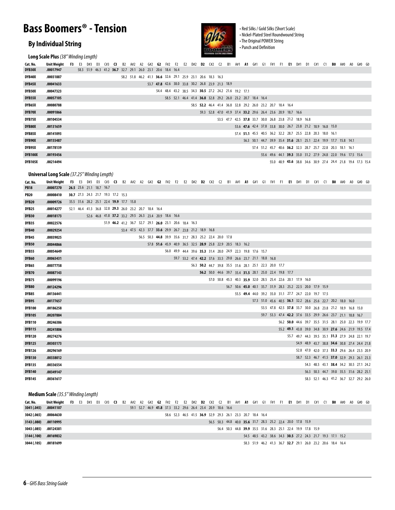### **Bass Boomers® - Tension**

#### **By Individual String**

**Long Scale Plus** *(38" Winding Length)*



• Red Silks / Gold Silks (Short Scale) • Nickel-Plated Steel Roundwound String • The Original POWER String • Punch and Definition

58.3 52.1 46.3 41.2 36.7 32.7 29.2 26.0

| Cat. No.       | Unit Weight                                         | F3 | - E3                     | D#3 | D3 C#3 <b>C3</b>                                                                                                       |  |                                                        |  |  |  |                                                             |  |  | B2 A#2 A2 G#2 G2 F#2 F2 E2 D#2 D2 C#2 C2 B1 A#1 A1 G#1 G1 F#1 F1 E1 D#1 D1 C#1 C1 B0 A#0 A0 G#0 G0 |  |  |  |                                                                  |  |                                         |  |  |
|----------------|-----------------------------------------------------|----|--------------------------|-----|------------------------------------------------------------------------------------------------------------------------|--|--------------------------------------------------------|--|--|--|-------------------------------------------------------------|--|--|----------------------------------------------------------------------------------------------------|--|--|--|------------------------------------------------------------------|--|-----------------------------------------|--|--|
| DYB30X         | .00017947                                           |    |                          |     | 58.3 51.9 46.3 41.2 36.7 32.7 29.1 26.0 23.1 20.6 18.4 16.4                                                            |  |                                                        |  |  |  |                                                             |  |  |                                                                                                    |  |  |  |                                                                  |  |                                         |  |  |
| DYB40X         | .00031887                                           |    |                          |     |                                                                                                                        |  |                                                        |  |  |  | 58.2 51.8 46.2 41.1 36.6 32.6 29.1 25.9 23.1 20.6 18.3 16.3 |  |  |                                                                                                    |  |  |  |                                                                  |  |                                         |  |  |
| DYB45X         | .00041633                                           |    |                          |     |                                                                                                                        |  |                                                        |  |  |  | 53.7 47.8 42.6 38.0 33.8 30.2 26.8 23.9 21.3 18.9           |  |  |                                                                                                    |  |  |  |                                                                  |  |                                         |  |  |
| <b>DYB50X</b>  | .00047323                                           |    |                          |     |                                                                                                                        |  |                                                        |  |  |  |                                                             |  |  | 54.4 48.4 43.2 38.5 34.3 30.5 27.2 24.2 21.6 19.2 17.1                                             |  |  |  |                                                                  |  |                                         |  |  |
| DYB55X         | .00057105                                           |    |                          |     |                                                                                                                        |  |                                                        |  |  |  |                                                             |  |  | 58.5 52.1 46.4 41.4 36.8 32.8 29.2 26.0 23.2 20.7 18.4 16.4                                        |  |  |  |                                                                  |  |                                         |  |  |
| DYB65X         | .00080788                                           |    |                          |     |                                                                                                                        |  |                                                        |  |  |  |                                                             |  |  | 58.5 52.2 46.4 41.4 36.8 32.8 29.2 26.0 23.2 20.7 18.4 16.4                                        |  |  |  |                                                                  |  |                                         |  |  |
| DYB70X         | .00091866                                           |    |                          |     |                                                                                                                        |  |                                                        |  |  |  |                                                             |  |  | 59.3 52.8 47.0 41.9 37.4 33.2 29.6 26.4 23.6 20.9 18.7 16.6                                        |  |  |  |                                                                  |  |                                         |  |  |
| DYB75X         | .00104534                                           |    |                          |     |                                                                                                                        |  |                                                        |  |  |  |                                                             |  |  | 53.5 47.7 42.5 37.8 33.7 30.0 26.8 23.8 21.2 18.9 16.8                                             |  |  |  |                                                                  |  |                                         |  |  |
| DYB80X         | .00131659                                           |    |                          |     |                                                                                                                        |  |                                                        |  |  |  |                                                             |  |  |                                                                                                    |  |  |  | 53.6 47.6 42.4 37.8 33.8 30.0 26.7 23.8 21.2 18.9 16.8 15.0      |  |                                         |  |  |
| DYB85X         | .00141093                                           |    |                          |     |                                                                                                                        |  |                                                        |  |  |  |                                                             |  |  |                                                                                                    |  |  |  | 57.4 51.1 45.5 40.5 36.2 32.2 28.7 25.5 22.8 20.3 18.0 16.1      |  |                                         |  |  |
| DYB90X         | .00155487                                           |    |                          |     |                                                                                                                        |  |                                                        |  |  |  |                                                             |  |  |                                                                                                    |  |  |  | 56.3 50.1 44.7 39.9 35.4 31.6 28.1 25.1 22.4 19.9 17.7 15.8 14.1 |  |                                         |  |  |
| DYB95X         | .00178139                                           |    |                          |     |                                                                                                                        |  |                                                        |  |  |  |                                                             |  |  |                                                                                                    |  |  |  | 57.4 51.2 45.7 40.6 36.2 32.3 28.7 25.7 22.8 20.3 18.1 16.1      |  |                                         |  |  |
| <b>DYB100X</b> | .00193456                                           |    |                          |     |                                                                                                                        |  |                                                        |  |  |  |                                                             |  |  |                                                                                                    |  |  |  | 55.6 49.6 44.1 39.3 35.0 31.2 27.9 24.8 22.0 19.6 17.5 15.6      |  |                                         |  |  |
| <b>DYB105X</b> | .00214494                                           |    |                          |     |                                                                                                                        |  |                                                        |  |  |  |                                                             |  |  |                                                                                                    |  |  |  | 55.0 48.9 43.6 38.8 34.6 30.9 27.4 24.4 21.8 19.4 17.3 15.4      |  |                                         |  |  |
|                |                                                     |    |                          |     |                                                                                                                        |  |                                                        |  |  |  |                                                             |  |  |                                                                                                    |  |  |  |                                                                  |  |                                         |  |  |
|                | <b>Universal Long Scale</b> (37.25" Winding Length) |    |                          |     |                                                                                                                        |  |                                                        |  |  |  |                                                             |  |  |                                                                                                    |  |  |  |                                                                  |  |                                         |  |  |
| Cat. No.       | <b>Unit Weight</b>                                  |    |                          |     | F3 E3 D#3 D3 C#3 C3 B2 A#2 A2 G#2 G2 F#2 F2 E2 D#2 D2 C#2 C2 B1 A#1 A1 G#1 G1 F#1 F1 E1 D#1 D1 C#1 C1 B0 A#0 A0 G#0 G0 |  |                                                        |  |  |  |                                                             |  |  |                                                                                                    |  |  |  |                                                                  |  |                                         |  |  |
| <b>PB18</b>    | .00007270                                           |    | 26.5 23.6 21.1 18.7 16.7 |     |                                                                                                                        |  |                                                        |  |  |  |                                                             |  |  |                                                                                                    |  |  |  |                                                                  |  |                                         |  |  |
| <b>PB20</b>    | .00008410                                           |    |                          |     | 30.7 27.3 24.3 21.7 19.3 17.2 15.3                                                                                     |  |                                                        |  |  |  |                                                             |  |  |                                                                                                    |  |  |  |                                                                  |  |                                         |  |  |
| <b>DYB20</b>   | .00009726                                           |    |                          |     | 35.5 31.6 28.2 25.1 22.4 19.9 17.7 15.8                                                                                |  |                                                        |  |  |  |                                                             |  |  |                                                                                                    |  |  |  |                                                                  |  |                                         |  |  |
| DYB25          | .00014277                                           |    |                          |     | 52.1 46.4 41.3 36.8 32.8 29.3 26.0 23.2 20.7 18.4 16.4                                                                 |  |                                                        |  |  |  |                                                             |  |  |                                                                                                    |  |  |  |                                                                  |  |                                         |  |  |
| DYB30          | .00018173                                           |    |                          |     | 52.6 46.8 41.8 37.2 33.2 29.5 26.3 23.4 20.9 18.6 16.6                                                                 |  |                                                        |  |  |  |                                                             |  |  |                                                                                                    |  |  |  |                                                                  |  |                                         |  |  |
| DYB35          | .00022576                                           |    |                          |     |                                                                                                                        |  | 51.9 46.2 41.2 36.7 32.7 29.1 26.0 23.1 20.6 18.4 16.3 |  |  |  |                                                             |  |  |                                                                                                    |  |  |  |                                                                  |  |                                         |  |  |
| <b>DYB40</b>   | .00029254                                           |    |                          |     |                                                                                                                        |  |                                                        |  |  |  | 53.4 47.5 42.3 37.7 33.6 29.9 26.7 23.8 21.2 18.9 16.8      |  |  |                                                                                                    |  |  |  |                                                                  |  |                                         |  |  |
| DYB45          | .00039025                                           |    |                          |     |                                                                                                                        |  |                                                        |  |  |  | 56.5 50.3 44.8 39.9 35.6 31.7 28.3 25.2 22.4 20.0 17.8      |  |  |                                                                                                    |  |  |  |                                                                  |  |                                         |  |  |
| <b>DYB50</b>   | .00044866                                           |    |                          |     |                                                                                                                        |  |                                                        |  |  |  |                                                             |  |  | 57.8 51.6 45.9 40.9 36.5 32.5 28.9 25.8 22.9 20.5 18.3 16.2                                        |  |  |  |                                                                  |  |                                         |  |  |
| DYB55          | .00054649                                           |    |                          |     |                                                                                                                        |  |                                                        |  |  |  |                                                             |  |  | 56.0 49.9 44.4 39.6 35.3 31.4 28.0 24.9 22.3 19.8 17.6 15.7                                        |  |  |  |                                                                  |  |                                         |  |  |
| DYB60          | .00065431                                           |    |                          |     |                                                                                                                        |  |                                                        |  |  |  |                                                             |  |  | 59.7 53.2 47.4 42.2 37.6 33.5 29.8 26.6 23.7 21.1 18.8 16.8                                        |  |  |  |                                                                  |  |                                         |  |  |
| DYB65          | .00077758                                           |    |                          |     |                                                                                                                        |  |                                                        |  |  |  |                                                             |  |  | 56.3 50.2 44.7 39.8 35.5 31.6 28.1 25.1 22.3 20.0 17.7                                             |  |  |  |                                                                  |  |                                         |  |  |
| <b>DYB70</b>   | .00087143                                           |    |                          |     |                                                                                                                        |  |                                                        |  |  |  |                                                             |  |  | 56.2 50.0 44.6 39.7 35.4 31.5 28.1 25.0 22.4 19.8 17.7                                             |  |  |  |                                                                  |  |                                         |  |  |
| DYB75          | .00099196                                           |    |                          |     |                                                                                                                        |  |                                                        |  |  |  |                                                             |  |  | 57.0 50.8 45.3 40.3 35.9 32.0 28.5 25.4 22.6 20.1 17.9 16.0                                        |  |  |  |                                                                  |  |                                         |  |  |
| <b>DYB80</b>   | .00124296                                           |    |                          |     |                                                                                                                        |  |                                                        |  |  |  |                                                             |  |  | 56.7 50.6 45.0 40.1 35.7 31.9 28.3 25.2 22.5 20.0 17.9 15.9                                        |  |  |  |                                                                  |  |                                         |  |  |
| DYB85          | .00136441                                           |    |                          |     |                                                                                                                        |  |                                                        |  |  |  |                                                             |  |  |                                                                                                    |  |  |  | 55.5 49.4 44.0 39.2 35.0 31.1 27.7 24.7 22.0 19.7 17.5           |  |                                         |  |  |
| DYB95          | .00177657                                           |    |                          |     |                                                                                                                        |  |                                                        |  |  |  |                                                             |  |  |                                                                                                    |  |  |  | 57.3 51.0 45.6 40.5 36.1 32.2 28.6 25.6 22.7 20.2 18.0 16.0      |  |                                         |  |  |
| <b>DYB100</b>  | .00186258                                           |    |                          |     |                                                                                                                        |  |                                                        |  |  |  |                                                             |  |  |                                                                                                    |  |  |  | 53.5 47.8 42.5 37.8 33.7 30.0 26.8 23.8 21.2 18.9 16.8 15.0      |  |                                         |  |  |
| <b>DYB105</b>  | .00207884                                           |    |                          |     |                                                                                                                        |  |                                                        |  |  |  |                                                             |  |  |                                                                                                    |  |  |  | 59.7 53.3 47.4 42.2 37.6 33.5 29.9 26.6 23.7 21.1 18.8 16.7      |  |                                         |  |  |
| <b>DYB110</b>  | .00246386                                           |    |                          |     |                                                                                                                        |  |                                                        |  |  |  |                                                             |  |  |                                                                                                    |  |  |  | 56.2 50.0 44.6 39.7 35.5 31.5 28.1 25.0 22.3 19.9 17.7           |  |                                         |  |  |
| <b>DYB115</b>  | .00241806                                           |    |                          |     |                                                                                                                        |  |                                                        |  |  |  |                                                             |  |  |                                                                                                    |  |  |  | 55.2 49.1 43.8 39.0 34.8 30.9 27.6 24.6 21.9 19.5 17.4           |  |                                         |  |  |
| <b>DYB120</b>  | .00274276                                           |    |                          |     |                                                                                                                        |  |                                                        |  |  |  |                                                             |  |  |                                                                                                    |  |  |  | 55.7 49.7 44.3 39.5 35.1 31.3 27.9 24.8 22.1 19.7                |  |                                         |  |  |
| <b>DYB125</b>  | .00303173                                           |    |                          |     |                                                                                                                        |  |                                                        |  |  |  |                                                             |  |  |                                                                                                    |  |  |  | 54.9 48.9 43.7 38.8 34.6 30.8 27.4 24.4 21.8                     |  |                                         |  |  |
| <b>DYB126</b>  | .00296169                                           |    |                          |     |                                                                                                                        |  |                                                        |  |  |  |                                                             |  |  |                                                                                                    |  |  |  | 52.8 47.0 42.0 37.3 33.3 29.6 26.4 23.5 20.9                     |  |                                         |  |  |
| <b>DYB130</b>  | .00338012                                           |    |                          |     |                                                                                                                        |  |                                                        |  |  |  |                                                             |  |  |                                                                                                    |  |  |  | 58.7 52.3 46.7 41.5 37.0 32.9 29.3 26.1 23.3                     |  |                                         |  |  |
| <b>DYB135</b>  | .00336554                                           |    |                          |     |                                                                                                                        |  |                                                        |  |  |  |                                                             |  |  |                                                                                                    |  |  |  |                                                                  |  | 54.3 48.5 43.1 38.4 34.2 30.5 27.1 24.2 |  |  |
| <b>DYB140</b>  | .00349147                                           |    |                          |     |                                                                                                                        |  |                                                        |  |  |  |                                                             |  |  |                                                                                                    |  |  |  |                                                                  |  | 56.3 50.3 44.7 39.8 35.5 31.6 28.2 25.1 |  |  |
|                |                                                     |    |                          |     |                                                                                                                        |  |                                                        |  |  |  |                                                             |  |  |                                                                                                    |  |  |  |                                                                  |  |                                         |  |  |

**Medium Scale** *(35.5" Winding Length)*

**.00361617**

**DYB145**

| Cat. No.    | Unit Weight |  | F3 E3 D#3 D3 C#3 C3 B2 A#2 A2 G#2 G2 F#2 F2 E2 D#2 <b>D2</b> C#2 C2 B1 A#1 <b>A1</b> G#1 G1 F#1 F1 <b>E1</b> D#1 D1 C#1 C1 <b>B0</b> A#0 A0 G#0 G0 |  |  |  |                                                             |  |  |  |  |                                                             |  |  |  |                                                             |                                                             |  |  |  |
|-------------|-------------|--|----------------------------------------------------------------------------------------------------------------------------------------------------|--|--|--|-------------------------------------------------------------|--|--|--|--|-------------------------------------------------------------|--|--|--|-------------------------------------------------------------|-------------------------------------------------------------|--|--|--|
| 3041 (.045) | .00041107   |  |                                                                                                                                                    |  |  |  | 59.1 52.7 46.9 41.8 37.3 33.2 29.6 26.4 23.4 20.9 18.6 16.6 |  |  |  |  |                                                             |  |  |  |                                                             |                                                             |  |  |  |
| 3042 (.065) | .00064630   |  |                                                                                                                                                    |  |  |  |                                                             |  |  |  |  | 58.6 52.3 46.5 41.5 36.9 32.9 29.3 26.1 23.3 20.7 18.4 16.4 |  |  |  |                                                             |                                                             |  |  |  |
| 3143 (.080) | .00110995   |  |                                                                                                                                                    |  |  |  |                                                             |  |  |  |  |                                                             |  |  |  | 56.5 50.3 44.8 40.0 35.6 31.7 28.3 25.2 22.4 20.0 17.8 15.9 |                                                             |  |  |  |
| 3043 (.085) | .00124381   |  |                                                                                                                                                    |  |  |  |                                                             |  |  |  |  |                                                             |  |  |  | 56.4 50.3 44.8 39.9 35.5 31.6 28.3 25.1 22.4 19.9 17.8 15.9 |                                                             |  |  |  |
| 3144 (.100) | .00169832   |  |                                                                                                                                                    |  |  |  |                                                             |  |  |  |  |                                                             |  |  |  |                                                             | 54.5 48.5 43.2 38.6 34.3 30.5 27.2 24.3 21.7 19.3 17.1 15.2 |  |  |  |
| 3044 (.105) | .00181699   |  |                                                                                                                                                    |  |  |  |                                                             |  |  |  |  |                                                             |  |  |  |                                                             | 58.3 51.9 46.2 41.3 36.7 32.7 29.1 26.0 23.2 20.6 18.4 16.4 |  |  |  |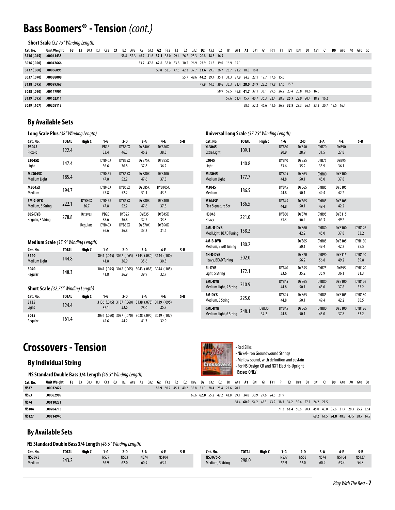### **Bass Boomers® - Tension** *(cont.)*

**Short Scale** *(32.75" Winding Length)*

| Cat. No.    | Unit Weight  F3 |  | E3 D#3 D3 C#3 <b>C3</b> B2 A#2 A2 G#2 <b>G2</b> F#2 F2 E2 D#2 <b>D2</b> C#2 C2 B1 A#1 <b>A1</b> G#1 G1 F#1 F1 <b>E1</b> D#1 D1 C#1 C1 <b>B0</b> A#0 A0 G#0 G0 |  |  |                                                             |                                                             |  |  |  |  |                                                             |                                                             |  |  |                                                             |  |  |  |  |
|-------------|-----------------|--|---------------------------------------------------------------------------------------------------------------------------------------------------------------|--|--|-------------------------------------------------------------|-------------------------------------------------------------|--|--|--|--|-------------------------------------------------------------|-------------------------------------------------------------|--|--|-------------------------------------------------------------|--|--|--|--|
| 3136 (.045) | .00041435       |  |                                                                                                                                                               |  |  | 58.8 52.3 46.7 41.6 37.1 33.0 29.4 26.2 23.3 20.8 18.5 16.5 |                                                             |  |  |  |  |                                                             |                                                             |  |  |                                                             |  |  |  |  |
| 3036 (.050) | .00047666       |  |                                                                                                                                                               |  |  |                                                             | 53.7 47.8 42.6 38.0 33.8 30.2 26.9 23.9 21.3 19.0 16.9 15.1 |  |  |  |  |                                                             |                                                             |  |  |                                                             |  |  |  |  |
| 3137 (.060) | .00066895       |  |                                                                                                                                                               |  |  |                                                             |                                                             |  |  |  |  | 59.8 53.3 47.5 42.3 37.7 33.6 29.9 26.7 23.7 21.2 18.8 16.8 |                                                             |  |  |                                                             |  |  |  |  |
| 3037 (.070) | .00088008       |  |                                                                                                                                                               |  |  |                                                             |                                                             |  |  |  |  |                                                             | 55.7 49.6 44.2 39.4 35.1 31.3 27.9 24.8 22.1 19.7 17.6 15.6 |  |  |                                                             |  |  |  |  |
| 3138 (.075) | .00099367       |  |                                                                                                                                                               |  |  |                                                             |                                                             |  |  |  |  |                                                             | 49.9 44.5 39.6 35.3 31.4 28.0 24.9 22.2 19.8 17.6 15.7      |  |  |                                                             |  |  |  |  |
| 3038 (.090) | .00147901       |  |                                                                                                                                                               |  |  |                                                             |                                                             |  |  |  |  |                                                             |                                                             |  |  | 58.9 52.5 46.8 41.7 37.1 33.1 29.5 26.2 23.4 20.8 18.6 16.6 |  |  |  |  |
| 3139 (.095) | .00162311       |  |                                                                                                                                                               |  |  |                                                             |                                                             |  |  |  |  |                                                             |                                                             |  |  | 57.6 51.4 45.7 40.7 36.3 32.4 28.8 25.7 22.9 20.4 18.2 16.2 |  |  |  |  |
| 3039 (.107) | .00208113       |  |                                                                                                                                                               |  |  |                                                             |                                                             |  |  |  |  |                                                             |                                                             |  |  | 58.6 52.2 46.6 41.6 36.9 32.9 29.3 26.1 23.3 20.7 18.5 16.4 |  |  |  |  |

#### **By Available Sets**

| <b>Long Scale Plus</b> (38" Winding Length)                                                            |       |                     |                                       |                                             |                                 |                                  |     |  |  |  |  |  |  |
|--------------------------------------------------------------------------------------------------------|-------|---------------------|---------------------------------------|---------------------------------------------|---------------------------------|----------------------------------|-----|--|--|--|--|--|--|
| Cat. No.                                                                                               | TOTAL | High C              | 1-G                                   | 2 D                                         | 3-A                             | 4-E                              | 5-B |  |  |  |  |  |  |
| <b>PB18</b><br>DYB40X<br>P3045<br>DYB30X<br>DYB50X<br>122.4<br>Piccolo<br>46.3<br>33.4<br>46.2<br>38.5 |       |                     |                                       |                                             |                                 |                                  |     |  |  |  |  |  |  |
| L3045X<br>Light                                                                                        | 147.4 |                     | DYB40X<br>36.6                        | DYB55X<br>36.8                              | DYB75X<br>37.8                  | DYB95X<br>36.2                   |     |  |  |  |  |  |  |
| <b>ML3045X</b><br><b>Medium Light</b>                                                                  | 185.4 |                     | DYB45X<br>47.8                        | DYB65X<br>52.2                              | DYB80X<br>47.6                  | <b>DYB100</b><br>37.8            |     |  |  |  |  |  |  |
| M3045X<br>Medium                                                                                       | 194.7 |                     | DYB45X<br>47.8                        | DYB65X<br>52.2                              | DYB85X<br>51.1                  | <b>DYB105X</b><br>43.6           |     |  |  |  |  |  |  |
| 5M-C-DYB<br>Medium, 5 String                                                                           | 222.1 | DYB30X<br>36.7      | DYB45X<br>47.8                        | DYB65X<br>52.2                              | DYB80X<br>47.6                  | <b>DYB100</b><br>37.8            |     |  |  |  |  |  |  |
| <b>8LS-DYB</b><br>Regular, 8 String                                                                    | 278.8 | Octaves<br>Regulars | <b>PB20</b><br>38.6<br>DYB40X<br>36.6 | DYB <sub>25</sub><br>36.8<br>DYB55X<br>36.8 | DYB35<br>32.7<br>DYB70X<br>33.2 | DYB45X<br>33.8<br>DYB90X<br>31.6 |     |  |  |  |  |  |  |

#### **Medium Scale** *(35.5" Winding Length)*

| Cat. No.                    | TOTAL | High C | 1-G  | 2-D  | 3 A                                                     | 4-F  | 5-B |
|-----------------------------|-------|--------|------|------|---------------------------------------------------------|------|-----|
| 3140<br><b>Medium Light</b> | 144.8 |        | 41.8 | 36.9 | 3041 (.045) 3042 (.065) 3143 (.080) 3144 (.100)<br>35.6 | 30.5 |     |
| 3040<br>Regular             | 148.3 |        | 41.8 | 36.9 | 3041 (.045) 3042 (.065) 3043 (.085) 3044 (.105)<br>39.9 | 32.7 |     |

#### **Short Scale** *(32.75" Winding Length)*

| Cat. No.        | <b>TOTAL</b> | High C | 1-G  | 2-D  | 3-A                                                     | 4-E  | 5-B |
|-----------------|--------------|--------|------|------|---------------------------------------------------------|------|-----|
| 3135<br>Liaht   | 124.4        |        | 37.1 | 33.6 | 3136 (.045) 3137 (.060) 3138 (.075) 3139 (.095)<br>28.0 | 25.7 |     |
| 3035<br>Regular | 161.4        |        | 42.6 | 44.2 | 3036 (.050) 3037 (.070) 3038 (.090) 3039 (.107)<br>41.7 | 32.9 |     |

| Cat. No.                            | <b>TOTAL</b> | High C        | $1-G$         | $2-D$                     | $3-A$         | 4-E                   | $5 - B$               |
|-------------------------------------|--------------|---------------|---------------|---------------------------|---------------|-----------------------|-----------------------|
| XL3045<br><b>Extra Light</b>        | 109.1        |               | DYB30<br>20.9 | DYB50<br>28.9             | DYB70<br>31.5 | DYB90<br>27.8         |                       |
| L3045<br>Light                      | 140.8        |               | DYB40<br>33.6 | DYB55<br>35.2             | DYB75<br>35.9 | DYB95<br>36.1         |                       |
| ML3045<br><b>Medium Light</b>       | 177.7        |               | DYB45<br>44.8 | DYB65<br>50.1             | DYB80<br>45.0 | <b>DYB100</b><br>37.8 |                       |
| M3045<br>Medium                     | 186.5        |               | DYB45<br>44.8 | DYB65<br>50.1             | DYB85<br>49.4 | <b>DYB105</b><br>42.2 |                       |
| M3045F<br>Flea Signature Set        | 186.5        |               | DYB45<br>44.8 | DYB65<br>50.1             | DYB85<br>49.4 | <b>DYB105</b><br>42.2 |                       |
| H3045<br>Heavy                      | 221.0        |               | DYB50<br>51.3 | DYB70<br>56.2             | DYB95<br>64.3 | <b>DYB115</b><br>49.2 |                       |
| 4ML-B-DYB<br>Med Light, BEAD Tuning | 158.2        |               |               | DYB60<br>42.2             | DYB80<br>45.0 | <b>DYB100</b><br>37.8 | <b>DYB126</b><br>33.2 |
| 4M-B-DYB<br>Medium, BEAD Tuning     | 180.2        |               |               | DYB65<br>50.1             | DYB85<br>49.4 | <b>DYB105</b><br>42.2 | DYB130<br>38.5        |
| 4H-B-DYB<br>Heavy, BEAD Tuning      | 202.0        |               |               | DYB70<br>56.2             | DYB90<br>56.8 | <b>DYB115</b><br>49.2 | <b>DYB140</b><br>39.8 |
| 51-DYB<br>Light, 5 String           | 172.1        |               | DYB40<br>33.6 | DYB55<br>35.2             | DYB75<br>35.9 | DYB95<br>36.1         | <b>DYB120</b><br>31.3 |
| 5ML-DYB<br>Medium Light, 5 String   | 210.9        |               | DYB45<br>44.8 | DYB <sub>65</sub><br>50.1 | DYB80<br>45.0 | <b>DYB100</b><br>37.8 | <b>DYB126</b><br>33.2 |
| 5M-DYB<br>Medium, 5 String          | 225.0        |               | DYB45<br>44.8 | DYB65<br>50.1             | DYB85<br>49.4 | <b>DYB105</b><br>42.2 | <b>DYB130</b><br>38.5 |
| 6ML-DYB<br>Medium Light, 6 String   | 248.1        | DYB30<br>37.2 | DYB45<br>44.8 | DYB65<br>50.1             | DYB80<br>45.0 | <b>DYB100</b><br>37.8 | <b>DYB126</b><br>33.2 |

**Universal Long Scale** *(37.25" Winding Length)*

### **Crossovers - Tension**

#### **By Individual String**

**NS Standard Double Bass 3/4 Length** *(46.5" Winding Length)*



• Red Silks • Nickel-Iron Groundwound Strings • Mellow sound, with definition and sustain • For NS Design CR and NXT Electric-Upright Basses ONLY!

**Cat. No. .00032422 .00062989 .00110231 .00204715 .00314940 NS37 NS53 NS74 NS104 NS127 Unit Weight F3** E3 D#3 D3 C#3 **C3** B2 A#2 A2 G#2 **G2** F#2 F2 E2 D#2 **D2** C#2 C2 B1 A#1 **A1** G#1 G1 F#1 F1 **E1** D#1 D1 C#1 C1 **B0** A#0 A0 G#0 G0 **56.9** 50.7 45.1 40.2 35.8 31.9 28.4 25.4 22.6 20.1 34.8 39.1 49.2 55.2 21.9 24.6 **62.0** 69.6 27.6 30.9 43.8 68.4 **60.9** 54.2 48.3 43.2 38.3 34.2 30.4 27.1 24.2 21.5 71.2 **63.4** 56.6 50.4 45.0 40.0 35.6 31.7 28.3 25.2 22.4 48.8 43.5 34.5 38.7 61.5 69.2 **54.8**

#### **By Available Sets**

#### **NS Standard Double Bass 3/4 Length** *(46.5" Winding Length)*

| Cat. No.                       | <b>TOTAL</b> | High C | ı-G          | 2-D                 | ---<br>. .          | 4.F                  | 5-B | Cat. No.                     | TOTAL | High C | 1-G                 | 2-D                 | 3 A                 | 4-F                  | 5 B                  |
|--------------------------------|--------------|--------|--------------|---------------------|---------------------|----------------------|-----|------------------------------|-------|--------|---------------------|---------------------|---------------------|----------------------|----------------------|
| <b>NS3075</b><br><b>Medium</b> | 243.2        |        | NS37<br>56.9 | <b>NS53</b><br>62.0 | <b>NS74</b><br>60.9 | <b>NS104</b><br>63.4 |     | NS3075-5<br>Medium, 5 String | 298.0 |        | <b>NS37</b><br>56.9 | <b>NS53</b><br>62.0 | <b>NS74</b><br>60.9 | <b>NS104</b><br>63.4 | <b>NS127</b><br>54.8 |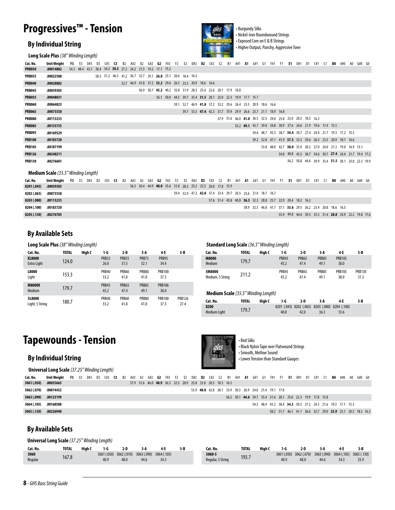## **Progressives™ - Tension**

#### **By Individual String**



• Burgundy Silks • Nickel-Iron Roundwound Strings • Exposed Core on E & B Strings • Higher Output, Punchy, Aggressive Tone

**Long Scale Plus** *(38" Winding Length)*

| Cat. No.      | <b>Unit Weight</b>                         | F3        | E3 | D#3            | D3 | 6#3               | $^{\circ}$ |           | A#2                                                         | A2 | G#2 | G2 |                                                             |           |                |     | F#2 F2 E2 D#2 <b>D2</b>                                     | C#2 | C <sub>2</sub> | <b>B1</b> | A#1 | A1 | G#1 | G1 | F#1                                                         | <b>F1</b> | E1 | D#1 | D <sub>1</sub> | C#1       | C <sub>1</sub> | BO. | A#0                                                         | A0 | $G#0$ $G0$ |  |
|---------------|--------------------------------------------|-----------|----|----------------|----|-------------------|------------|-----------|-------------------------------------------------------------|----|-----|----|-------------------------------------------------------------|-----------|----------------|-----|-------------------------------------------------------------|-----|----------------|-----------|-----|----|-----|----|-------------------------------------------------------------|-----------|----|-----|----------------|-----------|----------------|-----|-------------------------------------------------------------|----|------------|--|
| <b>PRB030</b> | .00014882                                  |           |    | 54.3 48.4 43.1 |    |                   |            |           | 38.4 34.2 30.5 27.2 24.2 21.5 19.2 17.1 15.2                |    |     |    |                                                             |           |                |     |                                                             |     |                |           |     |    |     |    |                                                             |           |    |     |                |           |                |     |                                                             |    |            |  |
| <b>PRB035</b> | .00022588                                  |           |    |                |    |                   |            |           | 58.3 51.2 46.3 41.2 36.7 32.7 29.1 26.0 23.1 20.6 18.4 16.3 |    |     |    |                                                             |           |                |     |                                                             |     |                |           |     |    |     |    |                                                             |           |    |     |                |           |                |     |                                                             |    |            |  |
| <b>PRB040</b> | .00028882                                  |           |    |                |    |                   |            |           | 52.7 46.9 41.8 37.2 33.2 29.6 26.3 23.5 20.9 18.6 16.6      |    |     |    |                                                             |           |                |     |                                                             |     |                |           |     |    |     |    |                                                             |           |    |     |                |           |                |     |                                                             |    |            |  |
| <b>PRB045</b> | .00039303                                  |           |    |                |    |                   |            |           |                                                             |    |     |    | 56.9 50.7 45.2 40.2 35.8 31.9 28.5 25.4 22.6 20.1 17.9 16.0 |           |                |     |                                                             |     |                |           |     |    |     |    |                                                             |           |    |     |                |           |                |     |                                                             |    |            |  |
| <b>PRB055</b> | .00048831                                  |           |    |                |    |                   |            |           |                                                             |    |     |    | 56.1 50.0 44.5 39.7 35.4 31.5 28.1 25.0 22.3 19.9 17.7 15.7 |           |                |     |                                                             |     |                |           |     |    |     |    |                                                             |           |    |     |                |           |                |     |                                                             |    |            |  |
| <b>PRB060</b> | .00064823                                  |           |    |                |    |                   |            |           |                                                             |    |     |    |                                                             |           |                |     | 59.1 52.7 46.9 41.8 37.2 33.2 29.6 26.4 23.5 20.9 18.6 16.6 |     |                |           |     |    |     |    |                                                             |           |    |     |                |           |                |     |                                                             |    |            |  |
| <b>PRB065</b> | .00073558                                  |           |    |                |    |                   |            |           |                                                             |    |     |    |                                                             |           |                |     |                                                             |     |                |           |     |    |     |    | 59.7 53.3 47.4 42.3 37.7 33.6 29.9 26.6 23.7 21.1 18.9 16.8 |           |    |     |                |           |                |     |                                                             |    |            |  |
| <b>PRB080</b> | .00113235                                  |           |    |                |    |                   |            |           |                                                             |    |     |    |                                                             |           |                |     |                                                             |     |                |           |     |    |     |    | 57.9 51.6 46.0 41.0 36.5 32.5 29.0 25.8 23.0 20.5 18.3 16.3 |           |    |     |                |           |                |     |                                                             |    |            |  |
| <b>PRB085</b> | .00135735                                  |           |    |                |    |                   |            |           |                                                             |    |     |    |                                                             |           |                |     |                                                             |     |                |           |     |    |     |    | 55.2 49.1 43.7 39.0 34.8 30.9 27.6 24.6 21.9 19.6 17.4 15.5 |           |    |     |                |           |                |     |                                                             |    |            |  |
| <b>PRB095</b> | .00169529                                  |           |    |                |    |                   |            |           |                                                             |    |     |    |                                                             |           |                |     |                                                             |     |                |           |     |    |     |    |                                                             |           |    |     |                |           |                |     | 54.6 48.7 43.5 38.7 34.4 30.7 27.4 24.4 21.7 19.3 17.2 15.3 |    |            |  |
| <b>PRB100</b> | .00183720                                  |           |    |                |    |                   |            |           |                                                             |    |     |    |                                                             |           |                |     |                                                             |     |                |           |     |    |     |    |                                                             |           |    |     |                |           |                |     | 59.2 52.8 47.1 41.9 37.3 33.3 29.6 26.5 23.5 20.9 18.7 16.6 |    |            |  |
| <b>PRB105</b> | .00187199                                  |           |    |                |    |                   |            |           |                                                             |    |     |    |                                                             |           |                |     |                                                             |     |                |           |     |    |     |    |                                                             |           |    |     |                |           |                |     | 53.8 48.0 42.7 38.0 33.9 30.2 27.0 24.0 21.3 19.0 16.9 15.1 |    |            |  |
| <b>PRB126</b> | .00240211                                  |           |    |                |    |                   |            |           |                                                             |    |     |    |                                                             |           |                |     |                                                             |     |                |           |     |    |     |    |                                                             |           |    |     |                |           |                |     | 54.8 48.8 43.5 38.7 34.6 30.7 27.4 24.4 21.7 19.4 17.2      |    |            |  |
| <b>PRB130</b> | .00276601                                  |           |    |                |    |                   |            |           |                                                             |    |     |    |                                                             |           |                |     |                                                             |     |                |           |     |    |     |    |                                                             |           |    |     |                |           |                |     | 56.2 50.8 44.6 39.9 35.4 31.5 28.1 25.0 22.3 19.9           |    |            |  |
|               | <b>Medium Scale</b> (35.5" Winding Length) |           |    |                |    |                   |            |           |                                                             |    |     |    |                                                             |           |                |     |                                                             |     |                |           |     |    |     |    |                                                             |           |    |     |                |           |                |     |                                                             |    |            |  |
| Cat. No.      | Unit Weight                                | <b>F3</b> |    | E3 D#3 D3      |    | $($ #3 $\cdot$ C3 |            | <b>B2</b> | A#2                                                         | A2 | G#2 | G2 | F#2                                                         | <b>F2</b> | E <sub>2</sub> | D#2 | D2                                                          | (1) | C <sub>2</sub> | <b>B1</b> |     |    |     |    | A#1 <b>A1</b> G#1 G1 F#1 F1 <b>E1</b> D#1                   |           |    |     |                | D1 C#1 C1 |                |     | <b>BO</b> A#0 A0 G#0 G0                                     |    |            |  |
| 8201 (.045)   | .00039303                                  |           |    |                |    |                   |            |           |                                                             |    |     |    | 56.5 50.4 44.9 40.0 35.6 31.8 28.3 25.2 22.5 20.0 17.8 15.9 |           |                |     |                                                             |     |                |           |     |    |     |    |                                                             |           |    |     |                |           |                |     |                                                             |    |            |  |
| 8202 ( በ65)   | 00073558                                   |           |    |                |    |                   |            |           |                                                             |    |     |    |                                                             |           |                |     | 594 529 422 420 374 334 297 265 236 210 187 167             |     |                |           |     |    |     |    |                                                             |           |    |     |                |           |                |     |                                                             |    |            |  |

| 8202 (.065) | .00073558 |  |  | 59.4 52.9 47.2 42.0 37.4 33.4 29.7 26.5 23.6 21.0 18.7 16.7 |  |                                                             |  |  |  |  |                                                        |  |  |
|-------------|-----------|--|--|-------------------------------------------------------------|--|-------------------------------------------------------------|--|--|--|--|--------------------------------------------------------|--|--|
| 8203 (.080) | .00113235 |  |  | 57.6 51.4 45.8 40.8 36.3 32.3 28.8 25.7 22.9 20.4 18.2 16.2 |  |                                                             |  |  |  |  |                                                        |  |  |
| 8204 (.100) | .00183720 |  |  |                                                             |  | 58.9 52.5 46.8 41.7 37.1 33.6 29.5 26.2 23.4 20.8 18.6 16.5 |  |  |  |  |                                                        |  |  |
| 8205 (.130) | .00276703 |  |  |                                                             |  |                                                             |  |  |  |  | 55.9 49.8 44.4 39.5 35.3 31.4 28.0 24.9 22.2 19.8 17.6 |  |  |

#### **By Available Sets**

| Long Scale Plus (38" Winding Length) |              |        |                      |                      |                      |                       |                       | <b>Standard Long Scale</b> (36.5" Winding Length) |              |        |                      |
|--------------------------------------|--------------|--------|----------------------|----------------------|----------------------|-----------------------|-----------------------|---------------------------------------------------|--------------|--------|----------------------|
| Cat. No.                             | <b>TOTAL</b> | High C | 1-G                  | $2-D$                | $3-A$                | 4-E                   | 5 B                   | Cat. No.                                          | <b>TOTAL</b> | High C | 1-G                  |
| <b>XL8000</b><br>Extra Light         | 124.0        |        | <b>PRB35</b><br>26.0 | <b>PRB55</b><br>31.5 | <b>PRB75</b><br>32.1 | <b>PRB95</b><br>34.4  |                       | M8000<br>Medium                                   | 179.7        |        | <b>PRB45</b><br>45.2 |
| L8000<br>Light                       | 153.3        |        | <b>PRB40</b><br>33.2 | <b>PRB60</b><br>41.8 | <b>PRB80</b><br>41.0 | <b>PRB100</b><br>37.3 |                       | 5M8000<br>Medium, 5 String                        | 211.2        |        | <b>PRB45</b><br>45.2 |
| <b>M8000X</b><br>Medium              | 179.7        |        | <b>PRB45</b><br>45.2 | <b>PRB65</b><br>47.4 | <b>PRB85</b><br>49.1 | <b>PRB106</b><br>38.0 |                       | <b>Medium Scale</b> (35.5" Winding Length)        |              |        |                      |
| 518000<br>Light, 5 String            | 180.7        |        | <b>PRB40</b><br>33.2 | <b>PRB60</b><br>41.8 | <b>PRB80</b><br>41.0 | <b>PRB100</b><br>37.3 | <b>PRB126</b><br>27.4 | Cat. No.<br>0700                                  | <b>TOTAL</b> | High C | 1-G<br>0201/04       |

|       | '8″ Winding Length) |                      |                      |                      |                       |     |                            | <b>Standard Long Scale</b> (36.5" Winding Length) |        |                      |               |               |                       |                       |
|-------|---------------------|----------------------|----------------------|----------------------|-----------------------|-----|----------------------------|---------------------------------------------------|--------|----------------------|---------------|---------------|-----------------------|-----------------------|
| TOTAL | High C              | 1-G                  | 2-D                  | 3 A                  | 4-E                   | 5-B | Cat. No.                   | <b>TOTAL</b>                                      | High C | 1-G                  | 2-D           | 3 A           | 4-E                   | 5 B                   |
| 124.0 |                     | <b>PRB35</b><br>26.0 | <b>PRB55</b><br>31.5 | <b>PRB75</b><br>32.1 | PRB95<br>34.4         |     | <b>M8000</b><br>Medium     | 179.7                                             |        | <b>PRB45</b><br>45.2 | PRB65<br>47.4 | PRB85<br>49.1 | <b>PRB105</b><br>38.0 |                       |
| 153.3 |                     | PRB40<br>33.2        | PRB60<br>41.8        | <b>PRB80</b><br>41.0 | <b>PRB100</b><br>37.3 |     | 5M8000<br>Medium, 5 String | 211.2                                             |        | PRB45<br>45.2        | PRB65<br>47.4 | PRB85<br>49.  | <b>PRB105</b><br>38.0 | <b>PRB130</b><br>31.5 |

| <b>Medium Scale</b> (35.5" Winding Length) |       |        |      |      |                                                 |      |     |
|--------------------------------------------|-------|--------|------|------|-------------------------------------------------|------|-----|
| Cat. No.                                   | TOTAL | Hiah C | 1-G  | 2-D  | 3 A                                             | 4-F  | 5-B |
| 8200                                       |       |        |      |      | 8201 (.045) 8202 (.065) 8203 (.080) 8204 (.100) |      |     |
| <b>Medium Light</b>                        | 179.7 |        | 40.0 | 42.0 | 36.3                                            | 33.6 |     |

## **Tapewounds - Tension**

#### **By Individual String**



• Red Silks • Black Nylon Tape over Flatwound Strings • Smooth, Mellow Sound • Lower Tension than Standard Gauges

|             | <b>Universal Long Scale</b> (37.25" Winding Length)                                                                                                            |  |  |  |  |                                                             |  |  |  |  |                                                        |  |  |  |  |                                                             |  |  |                                                             |  |
|-------------|----------------------------------------------------------------------------------------------------------------------------------------------------------------|--|--|--|--|-------------------------------------------------------------|--|--|--|--|--------------------------------------------------------|--|--|--|--|-------------------------------------------------------------|--|--|-------------------------------------------------------------|--|
| Cat. No.    | Unit Weight F3 E3 D#3 D3 C#3 C3 B2 A#2 A2 G#2 G2 F#2 F2 E2 D#2 <b>D2</b> C#2 C2 B1 A#1 <b>A1</b> G#1 G1 F#1 F1 <b>E1</b> D#1 D1 C#1 C1 <b>B0</b> A#0 A0 G#0 G0 |  |  |  |  |                                                             |  |  |  |  |                                                        |  |  |  |  |                                                             |  |  |                                                             |  |
| 3061 (.050) | .00035663                                                                                                                                                      |  |  |  |  | 57.9 51.6 46.0 40.9 36.5 32.5 28.9 25.8 23.0 20.5 18.3 16.3 |  |  |  |  |                                                        |  |  |  |  |                                                             |  |  |                                                             |  |
| 3062 (.070) | .00074452                                                                                                                                                      |  |  |  |  |                                                             |  |  |  |  | 53.9 48.0 42.8 38.1 33.9 30.3 26.9 24.0 21.4 19.1 17.0 |  |  |  |  |                                                             |  |  |                                                             |  |
| 3063 (.090) | .00123199                                                                                                                                                      |  |  |  |  |                                                             |  |  |  |  |                                                        |  |  |  |  | 56.2 50.1 44.6 39.7 35.4 31.6 28.1 25.0 22.3 19.9 17.8 15.8 |  |  |                                                             |  |
| 3064 (.105) | .00168588                                                                                                                                                      |  |  |  |  |                                                             |  |  |  |  |                                                        |  |  |  |  | 54.3 48.4 43.2 38.4 34.3 30.5 27.2 24.3 21.6 19.3 17.1 15.3 |  |  |                                                             |  |
| 3065 (.130) | .00226940                                                                                                                                                      |  |  |  |  |                                                             |  |  |  |  |                                                        |  |  |  |  |                                                             |  |  | 58.2 51.7 46.1 41.1 36.6 32.7 29.0 25.9 23.1 20.5 18.3 16.3 |  |
|             |                                                                                                                                                                |  |  |  |  |                                                             |  |  |  |  |                                                        |  |  |  |  |                                                             |  |  |                                                             |  |

#### **By Available Sets**

**Universal Long Scale** *(37.25" Winding Length)*

| Cat. No.        | <b>TOTAL</b> | High C | -6                              | 2 D  | 3-A |                                 | 5-B | Cat. No.                    | <b>TOTAL</b> | High ( | 1 ና  | 2-D  |      | 4-E                                                     | 5-B                 |
|-----------------|--------------|--------|---------------------------------|------|-----|---------------------------------|-----|-----------------------------|--------------|--------|------|------|------|---------------------------------------------------------|---------------------|
| 3060<br>Reaular | 167.8        |        | 3061 (.050) 3062 (.070)<br>40.9 | 48.0 | 44. | 3063 (.090) 3064 (.105)<br>34.3 |     | 3060-5<br>Regular, 5 String | 193.7        |        | 40.9 | 48 C | 44.6 | 3061 (.050) 3062 (.070) 3063 (.090) 3064 (.105)<br>34.3 | 3065 (.130)<br>25.9 |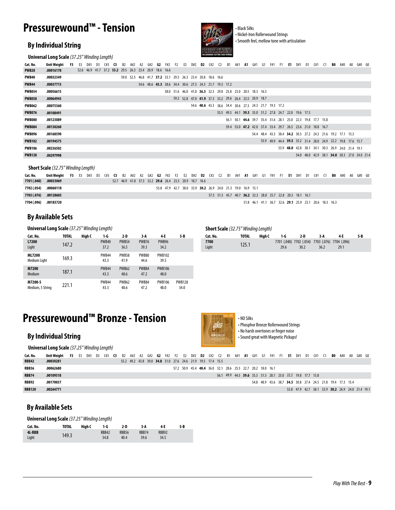### **Pressurewound™ - Tension**

#### **By Individual String**



• Black Silks • Nickel-Iron Rollerwound Strings • Smooth feel, mellow tone with articulation

|               | <b>Universal Long Scale</b> (37.25" Winding Length) |           |    |                                                        |        |      |           |     |    |     |  |                                                             |                      |  | <b>ROLLERSING CITTING MOT DRIVES</b>                        |           |     |    |     |    |     |           |    |                                                             |    |     |    |    |                                                             |        |  |
|---------------|-----------------------------------------------------|-----------|----|--------------------------------------------------------|--------|------|-----------|-----|----|-----|--|-------------------------------------------------------------|----------------------|--|-------------------------------------------------------------|-----------|-----|----|-----|----|-----|-----------|----|-------------------------------------------------------------|----|-----|----|----|-------------------------------------------------------------|--------|--|
| Cat. No.      | Unit Weight                                         | <b>F3</b> | E3 | D#3                                                    | D3 C#3 | - C3 | <b>B2</b> | A#2 | A2 | G#2 |  | <b>G2</b> F#2 F2 E2                                         | D#2 <b>D2</b> C#2 C2 |  |                                                             | <b>B1</b> | A#1 | A1 | G#1 | G1 | F#1 | <b>F1</b> | E1 | D#1                                                         | D1 | C#1 | C1 | B0 | A#0 A0                                                      | G#0 G0 |  |
| <b>PWB28</b>  | .00016178                                           |           |    | 52.6 46.9 41.7 37.2 33.2 29.5 26.3 23.4 20.9 18.6 16.6 |        |      |           |     |    |     |  |                                                             |                      |  |                                                             |           |     |    |     |    |     |           |    |                                                             |    |     |    |    |                                                             |        |  |
| PWB40         | .00032349                                           |           |    |                                                        |        |      |           |     |    |     |  | 59.0 52.5 46.8 41.7 37.2 33.1 29.5 26.3 23.4 20.8 18.6 16.6 |                      |  |                                                             |           |     |    |     |    |     |           |    |                                                             |    |     |    |    |                                                             |        |  |
| <b>PWB44</b>  | .00037715                                           |           |    |                                                        |        |      |           |     |    |     |  |                                                             |                      |  | 54.6 48.6 43.3 38.6 34.4 30.6 27.3 24.3 21.7 19.3 17.2      |           |     |    |     |    |     |           |    |                                                             |    |     |    |    |                                                             |        |  |
| <b>PWB054</b> | .00056615                                           |           |    |                                                        |        |      |           |     |    |     |  |                                                             |                      |  | 58.0 51.6 46.0 41.0 36.5 32.5 29.0 25.8 23.0 20.5 18.3 16.3 |           |     |    |     |    |     |           |    |                                                             |    |     |    |    |                                                             |        |  |
| <b>PWB058</b> | .00064945                                           |           |    |                                                        |        |      |           |     |    |     |  |                                                             |                      |  | 59.2 52.8 47.0 41.9 37.3 33.2 29.6 26.4 23.5 20.9 18.7      |           |     |    |     |    |     |           |    |                                                             |    |     |    |    |                                                             |        |  |
| <b>PWB062</b> | .00075360                                           |           |    |                                                        |        |      |           |     |    |     |  |                                                             |                      |  | 54.6 48.6 43.3 38.6 34.4 30.6 27.3 24.3 21.7 19.3 17.2      |           |     |    |     |    |     |           |    |                                                             |    |     |    |    |                                                             |        |  |
| <b>PWB076</b> | .00108491                                           |           |    |                                                        |        |      |           |     |    |     |  |                                                             |                      |  |                                                             |           |     |    |     |    |     |           |    | 55.5 49.5 44.1 39.3 35.0 31.2 27.8 24.7 22.0 19.6 17.5      |    |     |    |    |                                                             |        |  |
| <b>PWB080</b> | .00123089                                           |           |    |                                                        |        |      |           |     |    |     |  |                                                             |                      |  |                                                             |           |     |    |     |    |     |           |    | 56.1 50.1 44.6 39.7 35.4 31.6 28.1 25.0 22.3 19.8 17.7 15.8 |    |     |    |    |                                                             |        |  |
| <b>PWB084</b> | .00130260                                           |           |    |                                                        |        |      |           |     |    |     |  |                                                             |                      |  |                                                             |           |     |    |     |    |     |           |    | 59.4 53.0 47.2 42.0 37.4 33.4 29.7 26.5 23.6 21.0 18.8 16.7 |    |     |    |    |                                                             |        |  |
| <b>PWB096</b> | .00168590                                           |           |    |                                                        |        |      |           |     |    |     |  |                                                             |                      |  |                                                             |           |     |    |     |    |     |           |    |                                                             |    |     |    |    | 54.4 48.4 43.3 38.4 34.2 30.5 27.2 24.3 21.6 19.2 17.1 15.3 |        |  |
| <b>PWB102</b> | .00194575                                           |           |    |                                                        |        |      |           |     |    |     |  |                                                             |                      |  |                                                             |           |     |    |     |    |     |           |    |                                                             |    |     |    |    | 55.9 49.9 44.4 39.5 35.2 31.4 28.0 24.9 22.2 19.8 17.6 15.7 |        |  |
| <b>PWB106</b> | .00236502                                           |           |    |                                                        |        |      |           |     |    |     |  |                                                             |                      |  |                                                             |           |     |    |     |    |     |           |    |                                                             |    |     |    |    | 53.9 48.0 42.8 38.1 34.1 30.3 26.9 24.0 21.4 19.1           |        |  |
| <b>PWB128</b> | .00297998                                           |           |    |                                                        |        |      |           |     |    |     |  |                                                             |                      |  |                                                             |           |     |    |     |    |     |           |    |                                                             |    |     |    |    | 54.0 48.0 42.9 38.1 34.0 30.3 27.0 24.0 21.4                |        |  |

**Short Scale** *(32.75" Winding Length)*

| Cat. No.    | Unit Weight F3 E3 D#3 D3 C#3 C3 B2 A#2 A2 G#2 G2 F#2 F2 E2 D#2 D2 C#2 C2 B1 A#1 A1 G#1 G1 F#1 F1 E1 D#1 D1 C#1 C1 B0 A#0 A0 G#0 G0 |  |  |  |                                                        |  |  |  |                                                             |  |  |  |                                                             |  |  |  |  |  |  |  |
|-------------|------------------------------------------------------------------------------------------------------------------------------------|--|--|--|--------------------------------------------------------|--|--|--|-------------------------------------------------------------|--|--|--|-------------------------------------------------------------|--|--|--|--|--|--|--|
| 7701 (.040) | .00033069                                                                                                                          |  |  |  | 52.7 46.9 41.8 37.3 33.2 29.6 26.4 23.5 20.9 18.7 16.6 |  |  |  |                                                             |  |  |  |                                                             |  |  |  |  |  |  |  |
| 7702 (.054) | .00060118                                                                                                                          |  |  |  |                                                        |  |  |  | 53.8 47.9 42.7 38.0 33.9 30.2 26.9 24.0 21.3 19.0 16.9 15.1 |  |  |  |                                                             |  |  |  |  |  |  |  |
| 7703 (.076) | .00128603                                                                                                                          |  |  |  |                                                        |  |  |  |                                                             |  |  |  | 57.5 51.3 45.7 40.7 36.2 32.3 28.8 25.7 22.8 20.3 18.1 16.1 |  |  |  |  |  |  |  |
| 7704 (.096) | .00183720                                                                                                                          |  |  |  |                                                        |  |  |  |                                                             |  |  |  | 51.8 46.1 41.1 36.7 32.6 29.1 25.9 23.1 20.6 18.3 16.3      |  |  |  |  |  |  |  |

**7700** Light

#### **By Available Sets**

**Universal Long Scale** *(37.25" Winding Length)* **Short Scale** *(32.75" Winding Length)*

| Cat. No.                      | TOTAL | High C | 1-G                  | 2-D                  | $3-A$                | 4 E                   | 5-B                   |
|-------------------------------|-------|--------|----------------------|----------------------|----------------------|-----------------------|-----------------------|
| L7200<br>Light                | 147.2 |        | <b>PWB40</b><br>37.2 | <b>PWB54</b><br>36.5 | <b>PWB76</b><br>39.3 | <b>PWB96</b><br>34.2  |                       |
| <b>ML7200</b><br>Medium Light | 169.3 |        | <b>PWB44</b><br>43.3 | <b>PWB58</b><br>41.9 | <b>PWB80</b><br>44.6 | <b>PWB102</b><br>39.5 |                       |
| M7200<br>Medium               | 187.1 |        | <b>PWB44</b><br>43.3 | <b>PWB62</b><br>48.6 | <b>PWB84</b><br>47.2 | <b>PWB106</b><br>48.0 |                       |
| M7200-5<br>Medium, 5 String   | 221.1 |        | <b>PWB44</b><br>43.3 | <b>PWB62</b><br>48.6 | <b>PWB84</b><br>47.2 | <b>PWB106</b><br>48.0 | <b>PWB128</b><br>34.0 |

### **Pressurewound™ Bronze - Tension**

#### **By Individual String**

**Universal Long Scale** *(37.25" Winding Length)*



• Phosphor Bronze Rollerwound Strings • No harsh overtones or finger noise • Sound great with Magnetic Pickups!

**Cat. No. TOTAL High C 1-G 2-D 3-A 4-E 5-B**

7701 (.040) 29.6 125.1 7702 (.054) 7704 (.096) 7703 (.076) 30.2

29.1

36.2

• NO Silks

| Cat. No.      | Unit Weight F3 E3 D#3 D3 C#3 C3 B2 A#2 A2 G#2 G2 F#2 F2 E2 D#2 <b>D2</b> C#2 C2 B1 A#1 <b>A1</b> G#1 G1 F#1 F1 <b>E1</b> D#1 D1 C#1 C1 <b>B0</b> A#0 A0 G#0 G0 |  |  |  |  |                                                             |  |  |  |  |  |                                                             |  |  |  |                                                             |  |  |                                                   |  |
|---------------|----------------------------------------------------------------------------------------------------------------------------------------------------------------|--|--|--|--|-------------------------------------------------------------|--|--|--|--|--|-------------------------------------------------------------|--|--|--|-------------------------------------------------------------|--|--|---------------------------------------------------|--|
| <b>RBB42</b>  | .00030281                                                                                                                                                      |  |  |  |  | 55.2 49.2 43.8 39.0 34.8 31.0 27.6 24.6 21.9 19.5 17.4 15.5 |  |  |  |  |  |                                                             |  |  |  |                                                             |  |  |                                                   |  |
| RBB56         | .00062680                                                                                                                                                      |  |  |  |  |                                                             |  |  |  |  |  | 57.2 50.9 45.4 40.4 36.0 32.1 28.6 25.5 22.7 20.2 18.0 16.1 |  |  |  |                                                             |  |  |                                                   |  |
| <b>RBB74</b>  | .00109518                                                                                                                                                      |  |  |  |  |                                                             |  |  |  |  |  | 56.1 49.9 44.5 39.6 35.3 31.5 28.1 25.0 22.2 19.8 17.7 15.8 |  |  |  |                                                             |  |  |                                                   |  |
| RBB92         | .00170037                                                                                                                                                      |  |  |  |  |                                                             |  |  |  |  |  |                                                             |  |  |  | 54.8 48.9 43.6 38.7 34.5 30.8 27.4 24.5 21.8 19.4 17.3 15.4 |  |  |                                                   |  |
| <b>RBB120</b> | .00264771                                                                                                                                                      |  |  |  |  |                                                             |  |  |  |  |  |                                                             |  |  |  |                                                             |  |  | 53.8 47.9 42.7 38.1 33.9 30.2 26.9 24.0 21.4 19.1 |  |

#### **By Available Sets**

**Universal Long Scale** *(37.25" Winding Length)*

| Cat. No.        | TOTAL | High C | 1 G           | 2-D                  | 3 A                  | 4-E                  | 5-B |
|-----------------|-------|--------|---------------|----------------------|----------------------|----------------------|-----|
| 4L-RBB<br>Light | 149.3 |        | RBB42<br>34.8 | <b>RBB56</b><br>40.4 | <b>RBB74</b><br>39.6 | <b>RBB92</b><br>34.5 |     |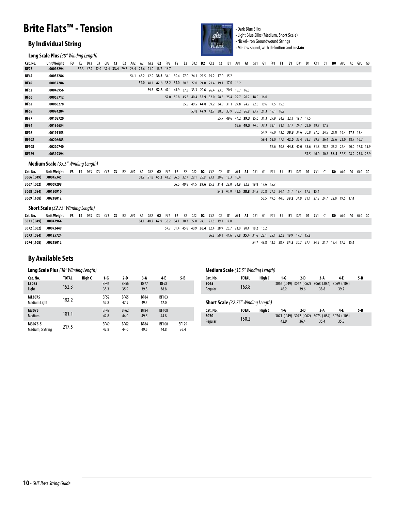### **Brite Flats™ - Tension**

#### **By Individual String**

**Long Scale Plus** *(38" Winding Length)*



• Dark Blue Silks • Light Blue Silks (Medium, Short Scale) • Nickel-Iron Groundwound Strings • Mellow sound, with definition and sustain

55.5 49.5 44.0 39.2 34.9 31.1 27.8 24.7 22.0 19.6 17.4

| Cat. No.     | <b>Unit Weight</b>                         | F3 | F3 |     |    | (#3 |                                                        |           |     |    | G#2                                                         | G)       | F#2 | F <sub>2</sub> | E2 | D#2 | D2 | (11) | $\mathcal{L}$                                               | <b>R1</b> | A#1 | A1 | G#1 | <b>G1</b> | F#1                                                         | F1 | F1. | D#1 | D1 | (11)                                                        |    | BO. | A#0                     | $G#0$ $G0$ |  |
|--------------|--------------------------------------------|----|----|-----|----|-----|--------------------------------------------------------|-----------|-----|----|-------------------------------------------------------------|----------|-----|----------------|----|-----|----|------|-------------------------------------------------------------|-----------|-----|----|-----|-----------|-------------------------------------------------------------|----|-----|-----|----|-------------------------------------------------------------|----|-----|-------------------------|------------|--|
| <b>BF27</b>  | .00016294                                  |    |    |     |    |     | 52.3 47.2 42.0 37.4 33.4 29.7 26.4 23.6 21.0 18.7 16.7 |           |     |    |                                                             |          |     |                |    |     |    |      |                                                             |           |     |    |     |           |                                                             |    |     |     |    |                                                             |    |     |                         |            |  |
| <b>BF45</b>  | .00033286                                  |    |    |     |    |     |                                                        |           |     |    | 54.1 48.2 42.9 38.3 34.1 30.4 27.0 24.1 21.5 19.2 17.0 15.2 |          |     |                |    |     |    |      |                                                             |           |     |    |     |           |                                                             |    |     |     |    |                                                             |    |     |                         |            |  |
| <b>BF49</b>  | .00037284                                  |    |    |     |    |     |                                                        |           |     |    | 54.0 48.1 42.8 38.2 34.0 30.3 27.0 24.0 21.4 19.1 17.0 15.2 |          |     |                |    |     |    |      |                                                             |           |     |    |     |           |                                                             |    |     |     |    |                                                             |    |     |                         |            |  |
| <b>BF52</b>  | .00045956                                  |    |    |     |    |     |                                                        |           |     |    |                                                             |          |     |                |    |     |    |      | 59.3 52.8 47.1 41.9 37.3 33.3 29.6 26.4 23.5 20.9 18.7 16.3 |           |     |    |     |           |                                                             |    |     |     |    |                                                             |    |     |                         |            |  |
| <b>BF56</b>  | .00055712                                  |    |    |     |    |     |                                                        |           |     |    |                                                             |          |     |                |    |     |    |      | 57.0 50.8 45.3 40.4 35.9 32.0 28.5 25.4 22.7 20.2 18.0 16.0 |           |     |    |     |           |                                                             |    |     |     |    |                                                             |    |     |                         |            |  |
| <b>BF62</b>  | .00068278                                  |    |    |     |    |     |                                                        |           |     |    |                                                             |          |     |                |    |     |    |      |                                                             |           |     |    |     |           | 55.5 49.5 44.0 39.2 34.9 31.1 27.8 24.7 22.0 19.6 17.5 15.6 |    |     |     |    |                                                             |    |     |                         |            |  |
| <b>BF65</b>  | .00074284                                  |    |    |     |    |     |                                                        |           |     |    |                                                             |          |     |                |    |     |    |      |                                                             |           |     |    |     |           | 53.8 47.9 42.7 38.0 33.9 30.2 26.9 23.9 21.3 19.1 16.9      |    |     |     |    |                                                             |    |     |                         |            |  |
| <b>BF77</b>  | .00108720                                  |    |    |     |    |     |                                                        |           |     |    |                                                             |          |     |                |    |     |    |      |                                                             |           |     |    |     |           | 55.7 49.6 44.2 39.3 35.0 31.3 27.9 24.8 22.1 19.7 17.5      |    |     |     |    |                                                             |    |     |                         |            |  |
| <b>BF84</b>  | .00136654                                  |    |    |     |    |     |                                                        |           |     |    |                                                             |          |     |                |    |     |    |      |                                                             |           |     |    |     |           | 55.6 49.5 44.0 39.3 35.1 31.1 27.7 24.7 22.0 19.7 17.5      |    |     |     |    |                                                             |    |     |                         |            |  |
| <b>BF98</b>  | .00191153                                  |    |    |     |    |     |                                                        |           |     |    |                                                             |          |     |                |    |     |    |      |                                                             |           |     |    |     |           | 54.9 49.0 43.6 38.8 34.6 30.8 27.5 24.5 21.8 19.4 17.3 15.4 |    |     |     |    |                                                             |    |     |                         |            |  |
| <b>BF103</b> | .00206683                                  |    |    |     |    |     |                                                        |           |     |    |                                                             |          |     |                |    |     |    |      |                                                             |           |     |    |     |           | 59.4 53.0 47.1 42.0 37.4 33.3 29.8 26.4 23.6 21.0 18.7 16.7 |    |     |     |    |                                                             |    |     |                         |            |  |
| <b>BF108</b> | .00220740                                  |    |    |     |    |     |                                                        |           |     |    |                                                             |          |     |                |    |     |    |      |                                                             |           |     |    |     |           |                                                             |    |     |     |    | 56.6 50.3 44.8 40.0 35.6 31.8 28.2 25.2 22.4 20.0 17.8 15.9 |    |     |                         |            |  |
| <b>BF129</b> | .00319394                                  |    |    |     |    |     |                                                        |           |     |    |                                                             |          |     |                |    |     |    |      |                                                             |           |     |    |     |           |                                                             |    |     |     |    | 51.5 46.0 40.8 36.4 32.5 28.9 25.8 22.9                     |    |     |                         |            |  |
|              | <b>Medium Scale</b> (35.5" Winding Length) |    |    |     |    |     |                                                        |           |     |    |                                                             |          |     |                |    |     |    |      |                                                             |           |     |    |     |           |                                                             |    |     |     |    |                                                             |    |     |                         |            |  |
| Cat. No.     | <b>Unit Weight</b>                         | F3 | E3 | D#3 | D3 | C#3 | G.                                                     | <b>B2</b> | A#2 | A2 | G#2                                                         | $G2$ F#2 |     | F <sub>2</sub> | E2 | D#2 | D2 | C#2  | $\Omega$                                                    | <b>B1</b> | A#1 |    |     |           | A1 G#1 G1 F#1 F1 E1 D#1 D1 C#1                              |    |     |     |    |                                                             | C1 |     | <b>BO</b> A#0 A0 G#0 G0 |            |  |
| 3066 (.049)  | .00045345                                  |    |    |     |    |     |                                                        |           |     |    | 58.2 51.8 46.2 41.2 36.6 32.7 29.1 25.9 23.1 20.6 18.3 16.4 |          |     |                |    |     |    |      |                                                             |           |     |    |     |           |                                                             |    |     |     |    |                                                             |    |     |                         |            |  |
| 3067 (.062)  | .00069298                                  |    |    |     |    |     |                                                        |           |     |    |                                                             |          |     |                |    |     |    |      | 56.0 49.8 44.5 39.6 35.3 31.4 28.0 24.9 22.2 19.8 17.6 15.7 |           |     |    |     |           |                                                             |    |     |     |    |                                                             |    |     |                         |            |  |
| 3068 (.084)  | .00120910                                  |    |    |     |    |     |                                                        |           |     |    |                                                             |          |     |                |    |     |    |      |                                                             |           |     |    |     |           | 54.8 48.8 43.6 38.8 34.5 30.8 27.5 24.4 21.7 19.4 17.3 15.4 |    |     |     |    |                                                             |    |     |                         |            |  |

**Short Scale** *(32.75" Winding Length)*

**.00218012 3069 (.108)**

| Cat. No.              | Unit Weight F3 E3 D#3 D3 C#3 C3 B2 A#2 A2 G#2 G2 F#2 F2 E2 D#2 D2 C#2 C2 B1 A#1 A1 G#1 G1 F#1 F1 E1 D#1 D1 C#1 C1 B0 A#0 A0 G#0 G0 |  |  |  |  |                                                        |  |  |                                                             |  |  |  |  |  |                                                             |  |  |                                                             |  |  |
|-----------------------|------------------------------------------------------------------------------------------------------------------------------------|--|--|--|--|--------------------------------------------------------|--|--|-------------------------------------------------------------|--|--|--|--|--|-------------------------------------------------------------|--|--|-------------------------------------------------------------|--|--|
| 3071 (.049)           | .00047964                                                                                                                          |  |  |  |  | 54.1 48.2 42.9 38.2 34.1 30.3 27.0 24.1 21.5 19.1 17.0 |  |  |                                                             |  |  |  |  |  |                                                             |  |  |                                                             |  |  |
| 3072 (.062)           | .00072449                                                                                                                          |  |  |  |  |                                                        |  |  | 57.7 51.4 45.8 40.9 36.4 32.4 28.9 25.7 23.0 20.4 18.2 16.2 |  |  |  |  |  |                                                             |  |  |                                                             |  |  |
| 3073 (.084) .00125724 |                                                                                                                                    |  |  |  |  |                                                        |  |  |                                                             |  |  |  |  |  | 56.3 50.1 44.6 39.8 35.4 31.6 28.1 25.1 22.3 19.9 17.7 15.8 |  |  |                                                             |  |  |
| 3074 (.108)           | .00218012                                                                                                                          |  |  |  |  |                                                        |  |  |                                                             |  |  |  |  |  |                                                             |  |  | 54.7 48.8 43.5 38.7 34.5 30.7 27.4 24.5 21.7 19.4 17.2 15.4 |  |  |

#### **By Available Sets**

| <b>Long Scale Plus</b> (38" Winding Length) |              |        |                     |                     |                     |                      |              | <b>Medium Scale</b> (35.5" Winding Length) |              |        |                                 |       |                                 |      |     |
|---------------------------------------------|--------------|--------|---------------------|---------------------|---------------------|----------------------|--------------|--------------------------------------------|--------------|--------|---------------------------------|-------|---------------------------------|------|-----|
| Cat. No.                                    | <b>TOTAL</b> | High C | 1-G                 | 2-D                 | 3-A                 | 4-E                  | $5 - B$      | Cat. No.                                   | TOTAL        | High C | 1-G                             | $2-D$ | 3-A                             | 4-E  | 5-B |
| L3075<br>Light                              | 152.3        |        | <b>BF45</b><br>38.3 | <b>BF56</b><br>35.9 | <b>BF77</b><br>39.3 | <b>BF98</b><br>38.8  |              | 3065<br>Regular                            | 163.8        |        | 3066 (.049) 3067 (.062)<br>46.2 | 39.6  | 3068 (.084) 3069 (.108)<br>38.8 | 39.2 |     |
| ML3075<br>Medium Light                      | 192.2        |        | <b>BF52</b><br>52.8 | <b>BF65</b><br>47.9 | <b>BF84</b><br>49.5 | <b>BF103</b><br>42.0 |              | <b>Short Scale</b> (32.75" Winding Length) |              |        |                                 |       |                                 |      |     |
| M3075                                       |              |        | <b>BF49</b>         | <b>BF62</b>         | <b>BF84</b>         | <b>BF108</b>         |              | Cat. No.                                   | <b>TOTAL</b> | High C | 1-G                             | 2-D   | 3-A                             | 4-E  | 5-B |
| Medium                                      | 181.1        |        | 42.8                | 44.0                | 49.5                | 44.8                 |              | 3070                                       | 150.2        |        | 3071 (.049) 3072 (.062)         |       | 3073 (.084) 3074 (.108)         |      |     |
| M3075-5                                     |              |        | <b>BF49</b>         | <b>BF62</b>         | <b>BF84</b>         | <b>BF108</b>         | <b>BF129</b> | Regular                                    |              |        | 42.9                            | 36.4  | 35.4                            | 35.5 |     |
| Medium, 5 String                            | 217.5        |        | 42.8                | 44.0                | 49.5                | 44.8                 | 36.4         |                                            |              |        |                                 |       |                                 |      |     |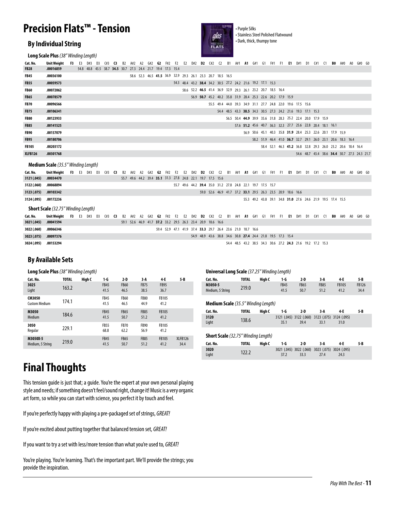### **Precision Flats™ - Tension** experience in the contract of the contract of the contract of the contract of the contract of the contract of the contract of the contract of the contract of the contract of the contract of the contract of the contract of

• Purple Silks

• Stainless Steel Polished Flatwound<br>• Dark, thick, thumpy tone

**Long Scale Plus** *(38" Winding Length)*

| Cat. No.     | Unit Weight | - F3 | E3 | D#3                                                         | D3 | C#3 | - C3 | - B2 | A#2 | A2  G#2  G2  F#2  F2  E2                                    |  |  | D#2 <b>D2</b>                                               | C#2 | C <sub>2</sub> | <b>B1</b> | A#1 | <b>A1</b> | G#1 | G1 | F#1 F1 |                                                             | - E1 | D#1 | D1 | C#1                                                         | - 61 | BO | A#0 | A0. | G#0 G0                                       |  |
|--------------|-------------|------|----|-------------------------------------------------------------|----|-----|------|------|-----|-------------------------------------------------------------|--|--|-------------------------------------------------------------|-----|----------------|-----------|-----|-----------|-----|----|--------|-------------------------------------------------------------|------|-----|----|-------------------------------------------------------------|------|----|-----|-----|----------------------------------------------|--|
| <b>FB28</b>  | .00016859   |      |    | 54.8 48.8 43.5 38.7 34.5 30.7 27.3 24.4 21.7 19.4 17.3 15.4 |    |     |      |      |     |                                                             |  |  |                                                             |     |                |           |     |           |     |    |        |                                                             |      |     |    |                                                             |      |    |     |     |                                              |  |
| <b>FB45</b>  | .00036100   |      |    |                                                             |    |     |      |      |     | 58.6 52.3 46.5 41.5 36.9 32.9 29.3 26.1 23.3 20.7 18.5 16.5 |  |  |                                                             |     |                |           |     |           |     |    |        |                                                             |      |     |    |                                                             |      |    |     |     |                                              |  |
| <b>FB55</b>  | .00059573   |      |    |                                                             |    |     |      |      |     |                                                             |  |  | 54.3 48.4 43.2 38.4 34.2 30.5 27.2 24.2 21.6 19.2 17.1 15.3 |     |                |           |     |           |     |    |        |                                                             |      |     |    |                                                             |      |    |     |     |                                              |  |
| <b>FB60</b>  | .00072062   |      |    |                                                             |    |     |      |      |     |                                                             |  |  | 58.6 52.2 46.5 41.4 36.9 32.9 29.3 26.1 23.2 20.7 18.5 16.4 |     |                |           |     |           |     |    |        |                                                             |      |     |    |                                                             |      |    |     |     |                                              |  |
| <b>FB65</b>  | .00078579   |      |    |                                                             |    |     |      |      |     |                                                             |  |  |                                                             |     |                |           |     |           |     |    |        | 56.9 50.7 45.2 40.2 35.8 31.9 28.4 25.3 22.6 20.2 17.9 15.9 |      |     |    |                                                             |      |    |     |     |                                              |  |
| <b>FB70</b>  | .00096566   |      |    |                                                             |    |     |      |      |     |                                                             |  |  |                                                             |     |                |           |     |           |     |    |        | 55.5 49.4 44.0 39.3 34.9 31.1 27.7 24.8 22.0 19.6 17.5 15.6 |      |     |    |                                                             |      |    |     |     |                                              |  |
| <b>FB75</b>  | .00106341   |      |    |                                                             |    |     |      |      |     |                                                             |  |  |                                                             |     |                |           |     |           |     |    |        | 54.4 48.5 43.3 38.5 34.3 30.5 27.3 24.2 21.6 19.3 17.1 15.3 |      |     |    |                                                             |      |    |     |     |                                              |  |
| <b>FB80</b>  | .00123933   |      |    |                                                             |    |     |      |      |     |                                                             |  |  |                                                             |     |                |           |     |           |     |    |        |                                                             |      |     |    | 56.5 50.4 44.9 39.9 35.6 31.8 28.3 25.2 22.4 20.0 17.9 15.9 |      |    |     |     |                                              |  |
| <b>FB85</b>  | .00141525   |      |    |                                                             |    |     |      |      |     |                                                             |  |  |                                                             |     |                |           |     |           |     |    |        |                                                             |      |     |    | 57.6 51.2 45.6 40.7 36.3 32.3 27.7 25.6 22.8 20.4 18.1 16.1 |      |    |     |     |                                              |  |
| <b>FB90</b>  | .00157079   |      |    |                                                             |    |     |      |      |     |                                                             |  |  |                                                             |     |                |           |     |           |     |    |        |                                                             |      |     |    | 56.9 50.6 45.1 40.3 35.8 31.9 28.4 25.3 22.6 20.1 17.9 15.9 |      |    |     |     |                                              |  |
| <b>FB95</b>  | .00180706   |      |    |                                                             |    |     |      |      |     |                                                             |  |  |                                                             |     |                |           |     |           |     |    |        |                                                             |      |     |    | 58.2 51.9 46.4 41.0 36.7 32.7 29.1 26.0 23.1 20.6 18.3 16.4 |      |    |     |     |                                              |  |
| <b>FB105</b> | .00203172   |      |    |                                                             |    |     |      |      |     |                                                             |  |  |                                                             |     |                |           |     |           |     |    |        |                                                             |      |     |    | 58.4 52.1 46.3 41.2 36.8 32.8 29.3 26.0 23.2 20.6 18.4 16.4 |      |    |     |     |                                              |  |
| XLFB126      | .00301768   |      |    |                                                             |    |     |      |      |     |                                                             |  |  |                                                             |     |                |           |     |           |     |    |        |                                                             |      |     |    |                                                             |      |    |     |     | 54.6 48.7 43.4 38.6 34.4 30.7 27.3 24.3 21.7 |  |

#### **Medium Scale** *(35.5" Winding Length)*

| Cat. No.    | Unit Weight                                | - F3 | E3 | D#3 | D3 | C#3 | - C3 | B2        | A#2    | A2 | G#2                                                         | G2 | F#2              | - F2 | E2     | D#2                                                         | D2 | $($ #2        | C <sub>2</sub> | - B1 | A#1                  | $\cdot$ A1 . | - G#1 | - G1 | F#1 | - F1                                                        | - E1          | D#1 | D1 | C#1    |                                                             | BO | A#0 | A0 | G#0 G0                  |  |
|-------------|--------------------------------------------|------|----|-----|----|-----|------|-----------|--------|----|-------------------------------------------------------------|----|------------------|------|--------|-------------------------------------------------------------|----|---------------|----------------|------|----------------------|--------------|-------|------|-----|-------------------------------------------------------------|---------------|-----|----|--------|-------------------------------------------------------------|----|-----|----|-------------------------|--|
| 3121 (.045) | .00034470                                  |      |    |     |    |     |      |           |        |    | 55.7 49.6 44.2 39.4 35.1 31.3 27.8 24.8 22.1 19.7 17.5 15.6 |    |                  |      |        |                                                             |    |               |                |      |                      |              |       |      |     |                                                             |               |     |    |        |                                                             |    |     |    |                         |  |
| 3122 (.060) | .00068894                                  |      |    |     |    |     |      |           |        |    |                                                             |    |                  |      |        | 55.7 49.6 44.2 39.4 35.0 31.2 27.8 24.8 22.1 19.7 17.5 15.7 |    |               |                |      |                      |              |       |      |     |                                                             |               |     |    |        |                                                             |    |     |    |                         |  |
| 3123 (.075) | .00103342                                  |      |    |     |    |     |      |           |        |    |                                                             |    |                  |      |        |                                                             |    |               |                |      |                      |              |       |      |     | 59.0 52.6 46.9 41.7 37.2 33.1 29.5 26.3 23.5 20.9 18.6 16.6 |               |     |    |        |                                                             |    |     |    |                         |  |
| 3124 (.095) | .00172236                                  |      |    |     |    |     |      |           |        |    |                                                             |    |                  |      |        |                                                             |    |               |                |      |                      |              |       |      |     |                                                             |               |     |    |        | 55.3 49.2 43.8 39.1 34.8 31.0 27.6 24.6 21.9 19.5 17.4 15.5 |    |     |    |                         |  |
|             |                                            |      |    |     |    |     |      |           |        |    |                                                             |    |                  |      |        |                                                             |    |               |                |      |                      |              |       |      |     |                                                             |               |     |    |        |                                                             |    |     |    |                         |  |
|             | <b>Short Scale</b> (32.75" Winding Length) |      |    |     |    |     |      |           |        |    |                                                             |    |                  |      |        |                                                             |    |               |                |      |                      |              |       |      |     |                                                             |               |     |    |        |                                                             |    |     |    |                         |  |
| Cat. No.    | Unit Weight                                | F3   | E3 | D#3 | D3 | C#3 | - C3 | <b>B2</b> | A#2 A2 |    | G#2                                                         |    | <b>G2</b> F#2 F2 |      | E2 D#2 |                                                             |    | <b>D2</b> C#2 | C <sub>2</sub> |      | B1 A#1 <b>A1</b> G#1 |              |       | - G1 | F#1 | . F1 .                                                      | <b>E1</b> D#1 |     |    | D1 C#1 | - 61                                                        |    |     |    | <b>BO</b> A#O AO G#O GO |  |
| 3021 (.045) | .00041594                                  |      |    |     |    |     |      |           |        |    | 59.1 52.6 46.9 41.7 37.2 33.2 29.5 26.3 23.4 20.9 18.6 16.6 |    |                  |      |        |                                                             |    |               |                |      |                      |              |       |      |     |                                                             |               |     |    |        |                                                             |    |     |    |                         |  |
| 3022 (.060) | .00066346                                  |      |    |     |    |     |      |           |        |    |                                                             |    |                  |      |        | 59.4 52.9 47.1 41.9 37.4 33.3 29.7 26.4 23.6 21.0 18.7 16.6 |    |               |                |      |                      |              |       |      |     |                                                             |               |     |    |        |                                                             |    |     |    |                         |  |

**By Available Sets**

**.00153294 3024 (.095)**

**Long Scale Plus** *(38" Winding Length)*

| Cat. No.                       | <b>TOTAL</b> | High C | 1-G                 | $2-D$               | 3 A                 | 4-E                  | 5-B             |
|--------------------------------|--------------|--------|---------------------|---------------------|---------------------|----------------------|-----------------|
| 3025<br>Light                  | 163.2        |        | <b>FB45</b><br>41.5 | <b>FB60</b><br>46.5 | <b>FB75</b><br>38.5 | <b>FB95</b><br>36.7  |                 |
| CM3050<br><b>Custom Medium</b> | 174.1        |        | <b>FB45</b><br>41.5 | <b>FB60</b><br>46.5 | <b>FB80</b><br>44.9 | <b>FB105</b><br>41.2 |                 |
| M3050<br>Medium                | 184.6        |        | <b>FB45</b><br>41.5 | <b>FB65</b><br>50.7 | <b>FB85</b><br>51.2 | <b>FB105</b><br>41.2 |                 |
| 3050<br>Regular                | 229.1        |        | <b>FB55</b><br>68.8 | <b>FB70</b><br>62.2 | <b>FB90</b><br>56.9 | <b>FB105</b><br>41.2 |                 |
| M3050X-5<br>Medium, 5 String   | 219.0        |        | <b>FB45</b><br>41.5 | <b>FB65</b><br>50.7 | <b>FB85</b><br>51.2 | <b>FB105</b><br>41.2 | XLFB126<br>34.4 |

#### **Medium Scale** *(35.5" Winding Length)* **Universal Long Scale** *(37.25" Winding Length)* **M3050-5**  Medium, 5 String **Cat. No. High C 2-D 4-E 1-G TOTAL 3-A 5-B** FB45 41.5 219.0 FB65 50.7 FB105 41.2 FB126 34.4 FB85 51.2

54.4 48.5 43.2 38.5 34.3 30.6 27.2 **24.3** 21.6 19.2 17.2 15.3

| Cat. No. | TOTAL | Hiah C | 1-G  | 2-D  | 3 A                                             | 4-E  | 5-B |  |
|----------|-------|--------|------|------|-------------------------------------------------|------|-----|--|
| 3120     |       |        |      |      | 3121 (.045) 3122 (.060) 3123 (.075) 3124 (.095) |      |     |  |
| Light    | 138.6 |        | 35.1 | 39.4 | 33.1                                            | 31.0 |     |  |

#### **Short Scale** *(32.75" Winding Length)*

| Cat. No. | <b>TOTAL</b> | Hiah C | 1-G  | 2-D  | 3 A                                             | 4-F  | 5-B |
|----------|--------------|--------|------|------|-------------------------------------------------|------|-----|
| 3020     |              |        |      |      | 3021 (.045) 3022 (.060) 3023 (.075) 3024 (.095) |      |     |
| Liaht    | 122.2        |        | 37.2 | 33.3 | 27.4                                            | 24.3 |     |

### **Final Thoughts**

This tension guide is just that; a guide. You're the expert at your own personal playing style and needs; if something doesn't feel/sound right, change it! Music is a very organic art form, so while you can start with science, you perfect it by touch and feel.

If you're perfectly happy with playing a pre-packaged set of strings, *GREAT!*

If you're excited about putting together that balanced tension set, *GREAT!*

If you want to try a set with less/more tension than what you're used to, *GREAT!*

You're playing. You're learning. That's the important part. We'll provide the strings; you provide the inspiration.